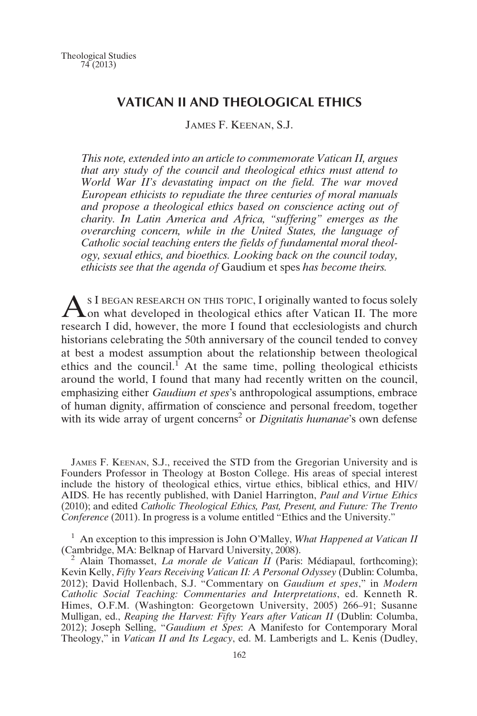# VATICAN II AND THEOLOGICAL ETHICS

JAMES F. KEENAN, S.J.

This note, extended into an article to commemorate Vatican II, argues that any study of the council and theological ethics must attend to World War II's devastating impact on the field. The war moved European ethicists to repudiate the three centuries of moral manuals and propose a theological ethics based on conscience acting out of charity. In Latin America and Africa, "suffering" emerges as the overarching concern, while in the United States, the language of Catholic social teaching enters the fields of fundamental moral theology, sexual ethics, and bioethics. Looking back on the council today, ethicists see that the agenda of Gaudium et spes has become theirs.

S I BEGAN RESEARCH ON THIS TOPIC, I originally wanted to focus solely on what developed in theological ethics after Vatican II. The more research I did, however, the more I found that ecclesiologists and church historians celebrating the 50th anniversary of the council tended to convey at best a modest assumption about the relationship between theological ethics and the council.<sup>1</sup> At the same time, polling theological ethicists around the world, I found that many had recently written on the council, emphasizing either Gaudium et spes's anthropological assumptions, embrace of human dignity, affirmation of conscience and personal freedom, together with its wide array of urgent concerns<sup>2</sup> or *Dignitatis humanae*'s own defense

JAMES F. KEENAN, S.J., received the STD from the Gregorian University and is Founders Professor in Theology at Boston College. His areas of special interest include the history of theological ethics, virtue ethics, biblical ethics, and HIV/ AIDS. He has recently published, with Daniel Harrington, Paul and Virtue Ethics (2010); and edited Catholic Theological Ethics, Past, Present, and Future: The Trento Conference (2011). In progress is a volume entitled "Ethics and the University."

<sup>1</sup> An exception to this impression is John O'Malley, *What Happened at Vatican II* (Cambridge, MA: Belknap of Harvard University, 2008).

Alain Thomasset, La morale de Vatican II (Paris: Médiapaul, forthcoming); Kevin Kelly, Fifty Years Receiving Vatican II: A Personal Odyssey (Dublin: Columba, 2012); David Hollenbach, S.J. "Commentary on Gaudium et spes," in Modern Catholic Social Teaching: Commentaries and Interpretations, ed. Kenneth R. Himes, O.F.M. (Washington: Georgetown University, 2005) 266–91; Susanne Mulligan, ed., Reaping the Harvest: Fifty Years after Vatican II (Dublin: Columba, 2012); Joseph Selling, "Gaudium et Spes: A Manifesto for Contemporary Moral Theology," in Vatican II and Its Legacy, ed. M. Lamberigts and L. Kenis (Dudley,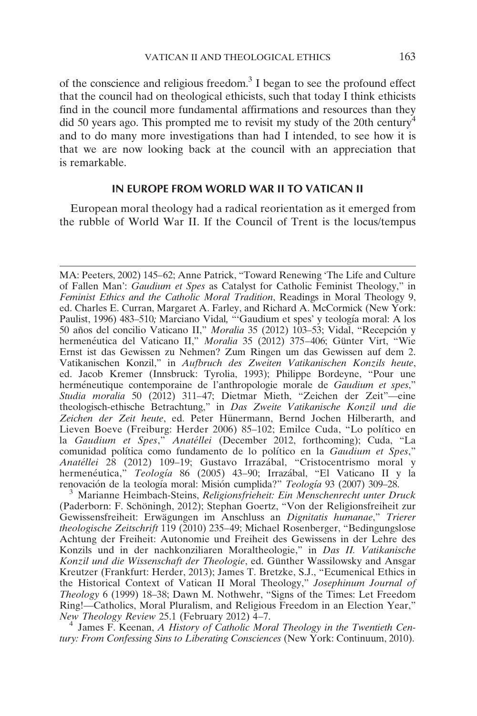of the conscience and religious freedom.<sup>3</sup> I began to see the profound effect that the council had on theological ethicists, such that today I think ethicists find in the council more fundamental affirmations and resources than they did 50 years ago. This prompted me to revisit my study of the 20th century<sup>4</sup> and to do many more investigations than had I intended, to see how it is that we are now looking back at the council with an appreciation that is remarkable.

# IN EUROPE FROM WORLD WAR II TO VATICAN II

European moral theology had a radical reorientation as it emerged from the rubble of World War II. If the Council of Trent is the locus/tempus

MA: Peeters, 2002) 145–62; Anne Patrick, "Toward Renewing 'The Life and Culture of Fallen Man': Gaudium et Spes as Catalyst for Catholic Feminist Theology," in Feminist Ethics and the Catholic Moral Tradition, Readings in Moral Theology 9, ed. Charles E. Curran, Margaret A. Farley, and Richard A. McCormick (New York: Paulist, 1996) 483–510; Marciano Vidal, "Gaudium et spes' y teología moral: A los 50 años del concilio Vaticano II," Moralia 35 (2012) 103-53; Vidal, "Recepción y hermenéutica del Vaticano II," *Moralia* 35 (2012) 375–406; Günter Virt, "Wie Ernst ist das Gewissen zu Nehmen? Zum Ringen um das Gewissen auf dem 2. Vatikanischen Konzil," in Aufbruch des Zweiten Vatikanischen Konzils heute, ed. Jacob Kremer (Innsbruck: Tyrolia, 1993); Philippe Bordeyne, "Pour une herméneutique contemporaine de l'anthropologie morale de Gaudium et spes," Studia moralia 50 (2012) 311–47; Dietmar Mieth, "Zeichen der Zeit"—eine theologisch-ethische Betrachtung," in Das Zweite Vatikanische Konzil und die Zeichen der Zeit heute, ed. Peter Hünermann, Bernd Jochen Hilberarth, and Lieven Boeve (Freiburg: Herder 2006) 85-102; Emilce Cuda, "Lo político en la Gaudium et Spes," Anatéllei (December 2012, forthcoming); Cuda, "La comunidad política como fundamento de lo político en la Gaudium et Spes," Anatéllei 28 (2012) 109-19; Gustavo Irrazábal, "Cristocentrismo moral y hermenéutica," *Teología* 86 (2005) 43–90; Irrazábal, "El Vaticano II y la renovación de la teología moral: Misión cumplida?" *Teología* 93 (2007) 309–28.

 $^3$  Marianne Heimbach-Steins, Religionsfrieheit: Ein Menschenrecht unter Druck (Paderborn: F. Schöningh, 2012); Stephan Goertz, "Von der Religionsfreiheit zur Gewissensfreiheit: Erwägungen im Anschluss an Dignitatis humanae," Trierer theologische Zeitschrift 119 (2010) 235–49; Michael Rosenberger, "Bedingungslose Achtung der Freiheit: Autonomie und Freiheit des Gewissens in der Lehre des Konzils und in der nachkonziliaren Moraltheologie," in Das II. Vatikanische Konzil und die Wissenschaft der Theologie, ed. Günther Wassilowsky and Ansgar Kreutzer (Frankfurt: Herder, 2013); James T. Bretzke, S.J., "Ecumenical Ethics in the Historical Context of Vatican II Moral Theology," Josephinum Journal of Theology 6 (1999) 18–38; Dawn M. Nothwehr, "Signs of the Times: Let Freedom Ring!—Catholics, Moral Pluralism, and Religious Freedom in an Election Year,"

 $<sup>4</sup>$  James F. Keenan, A History of Catholic Moral Theology in the Twentieth Cen-</sup> tury: From Confessing Sins to Liberating Consciences (New York: Continuum, 2010).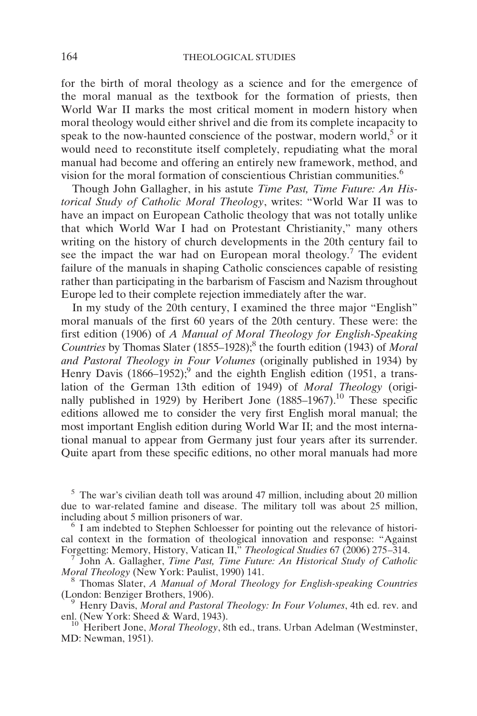for the birth of moral theology as a science and for the emergence of the moral manual as the textbook for the formation of priests, then World War II marks the most critical moment in modern history when moral theology would either shrivel and die from its complete incapacity to speak to the now-haunted conscience of the postwar, modern world,<sup>5</sup> or it would need to reconstitute itself completely, repudiating what the moral manual had become and offering an entirely new framework, method, and vision for the moral formation of conscientious Christian communities.<sup>6</sup>

Though John Gallagher, in his astute Time Past, Time Future: An Historical Study of Catholic Moral Theology, writes: "World War II was to have an impact on European Catholic theology that was not totally unlike that which World War I had on Protestant Christianity," many others writing on the history of church developments in the 20th century fail to see the impact the war had on European moral theology.<sup>7</sup> The evident failure of the manuals in shaping Catholic consciences capable of resisting rather than participating in the barbarism of Fascism and Nazism throughout Europe led to their complete rejection immediately after the war.

In my study of the 20th century, I examined the three major "English" moral manuals of the first 60 years of the 20th century. These were: the first edition (1906) of A Manual of Moral Theology for English-Speaking Countries by Thomas Slater  $(1855-1928)$ ;<sup>8</sup> the fourth edition  $(1943)$  of *Moral* and Pastoral Theology in Four Volumes (originally published in 1934) by Henry Davis  $(1866-1952)$ ; and the eighth English edition (1951, a translation of the German 13th edition of 1949) of Moral Theology (originally published in 1929) by Heribert Jone  $(1885-1967)$ .<sup>10</sup> These specific editions allowed me to consider the very first English moral manual; the most important English edition during World War II; and the most international manual to appear from Germany just four years after its surrender. Quite apart from these specific editions, no other moral manuals had more

 $5$  The war's civilian death toll was around 47 million, including about 20 million due to war-related famine and disease. The military toll was about 25 million, including about 5 million prisoners of war.

 $\delta$  I am indebted to Stephen Schloesser for pointing out the relevance of historical context in the formation of theological innovation and response: "Against Forgetting: Memory, History, Vatican II," Theological Studies 67 (2006) 275–314.

 $\frac{7}{7}$  John A. Gallagher, *Time Past, Time Future: An Historical Study of Catholic Moral Theology* (New York: Paulist, 1990) 141.

 $8$  Thomas Slater, A Manual of Moral Theology for English-speaking Countries

(London: Benziger Brothers, 1906).<br><sup>9</sup> Henry Davis, *Moral and Pastoral Theology: In Four Volumes*, 4th ed. rev. and enl. (New York: Sheed & Ward, 1943).

<sup>10</sup> Heribert Jone, *Moral Theology*, 8th ed., trans. Urban Adelman (Westminster, MD: Newman, 1951).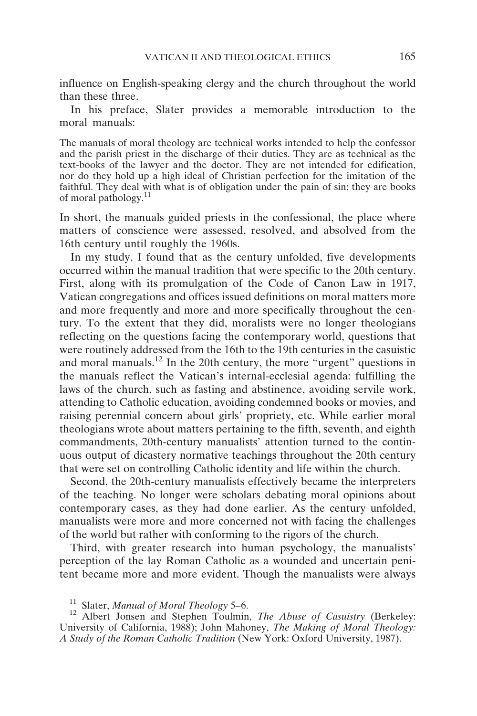influence on English-speaking clergy and the church throughout the world than these three.

In his preface, Slater provides a memorable introduction to the moral manuals:

The manuals of moral theology are technical works intended to help the confessor and the parish priest in the discharge of their duties. They are as technical as the text-books of the lawyer and the doctor. They are not intended for edification, nor do they hold up a high ideal of Christian perfection for the imitation of the faithful. They deal with what is of obligation under the pain of sin; they are books of moral pathology.<sup>11</sup>

In short, the manuals guided priests in the confessional, the place where matters of conscience were assessed, resolved, and absolved from the 16th century until roughly the 1960s.

In my study, I found that as the century unfolded, five developments occurred within the manual tradition that were specific to the 20th century. First, along with its promulgation of the Code of Canon Law in 1917, Vatican congregations and offices issued definitions on moral matters more and more frequently and more and more specifically throughout the century. To the extent that they did, moralists were no longer theologians reflecting on the questions facing the contemporary world, questions that were routinely addressed from the 16th to the 19th centuries in the casuistic and moral manuals.<sup>12</sup> In the 20th century, the more "urgent" questions in the manuals reflect the Vatican's internal-ecclesial agenda: fulfilling the laws of the church, such as fasting and abstinence, avoiding servile work, attending to Catholic education, avoiding condemned books or movies, and raising perennial concern about girls' propriety, etc. While earlier moral theologians wrote about matters pertaining to the fifth, seventh, and eighth commandments, 20th-century manualists' attention turned to the continuous output of dicastery normative teachings throughout the 20th century that were set on controlling Catholic identity and life within the church.

Second, the 20th-century manualists effectively became the interpreters of the teaching. No longer were scholars debating moral opinions about contemporary cases, as they had done earlier. As the century unfolded, manualists were more and more concerned not with facing the challenges of the world but rather with conforming to the rigors of the church.

Third, with greater research into human psychology, the manualists' perception of the lay Roman Catholic as a wounded and uncertain penitent became more and more evident. Though the manualists were always

<sup>11</sup> Slater, *Manual of Moral Theology* 5–6.<br><sup>12</sup> Albert Jonsen and Stephen Toulmin, *The Abuse of Casuistry* (Berkeley: University of California, 1988); John Mahoney, The Making of Moral Theology: A Study of the Roman Catholic Tradition (New York: Oxford University, 1987).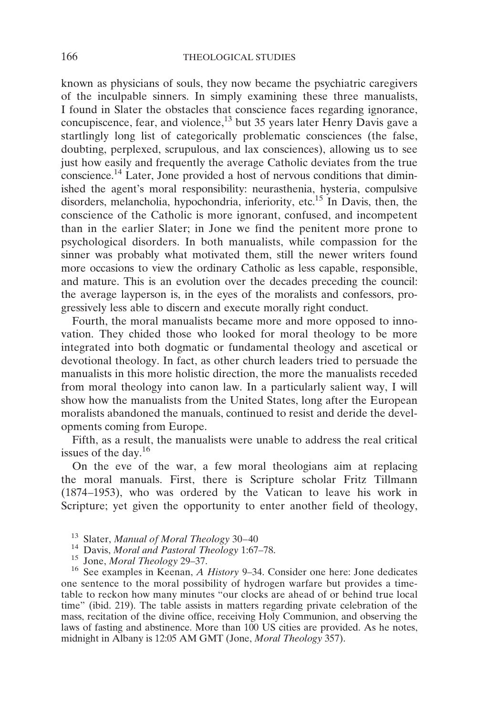known as physicians of souls, they now became the psychiatric caregivers of the inculpable sinners. In simply examining these three manualists, I found in Slater the obstacles that conscience faces regarding ignorance, concupiscence, fear, and violence,<sup>13</sup> but 35 years later Henry Davis gave a startlingly long list of categorically problematic consciences (the false, doubting, perplexed, scrupulous, and lax consciences), allowing us to see just how easily and frequently the average Catholic deviates from the true conscience.<sup>14</sup> Later, Jone provided a host of nervous conditions that diminished the agent's moral responsibility: neurasthenia, hysteria, compulsive disorders, melancholia, hypochondria, inferiority, etc.<sup>15</sup> In Davis, then, the conscience of the Catholic is more ignorant, confused, and incompetent than in the earlier Slater; in Jone we find the penitent more prone to psychological disorders. In both manualists, while compassion for the sinner was probably what motivated them, still the newer writers found more occasions to view the ordinary Catholic as less capable, responsible, and mature. This is an evolution over the decades preceding the council: the average layperson is, in the eyes of the moralists and confessors, progressively less able to discern and execute morally right conduct.

Fourth, the moral manualists became more and more opposed to innovation. They chided those who looked for moral theology to be more integrated into both dogmatic or fundamental theology and ascetical or devotional theology. In fact, as other church leaders tried to persuade the manualists in this more holistic direction, the more the manualists receded from moral theology into canon law. In a particularly salient way, I will show how the manualists from the United States, long after the European moralists abandoned the manuals, continued to resist and deride the developments coming from Europe.

Fifth, as a result, the manualists were unable to address the real critical issues of the day. $16$ 

On the eve of the war, a few moral theologians aim at replacing the moral manuals. First, there is Scripture scholar Fritz Tillmann (1874–1953), who was ordered by the Vatican to leave his work in Scripture; yet given the opportunity to enter another field of theology,

- 
- 
- 

<sup>13</sup> Slater, *Manual of Moral Theology* 30–40<br><sup>14</sup> Davis, *Moral and Pastoral Theology* 1:67–78.<br><sup>15</sup> Jone, *Moral Theology* 29–37.<br><sup>16</sup> See examples in Keenan, *A History* 9–34. Consider one here: Jone dedicates one sentence to the moral possibility of hydrogen warfare but provides a timetable to reckon how many minutes "our clocks are ahead of or behind true local time" (ibid. 219). The table assists in matters regarding private celebration of the mass, recitation of the divine office, receiving Holy Communion, and observing the laws of fasting and abstinence. More than 100 US cities are provided. As he notes, midnight in Albany is 12:05 AM GMT (Jone, *Moral Theology* 357).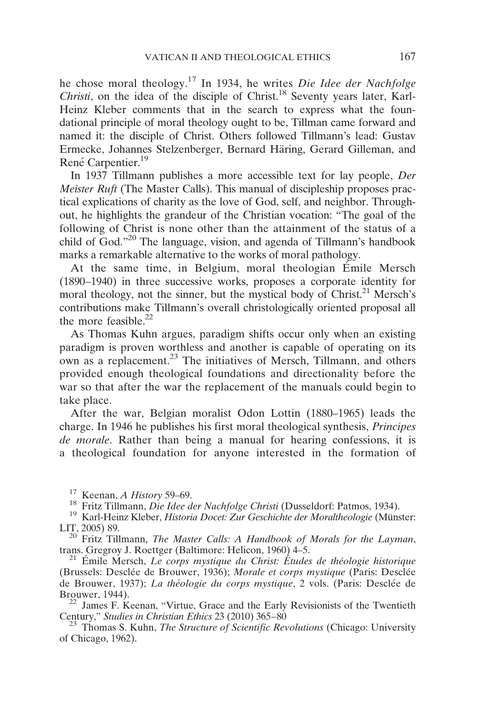he chose moral theology.<sup>17</sup> In 1934, he writes *Die Idee der Nachfolge* Christi, on the idea of the disciple of Christ.<sup>18</sup> Seventy years later, Karl-Heinz Kleber comments that in the search to express what the foundational principle of moral theology ought to be, Tillman came forward and named it: the disciple of Christ. Others followed Tillmann's lead: Gustav Ermecke, Johannes Stelzenberger, Bernard Häring, Gerard Gilleman, and René Carpentier.<sup>19</sup>

In 1937 Tillmann publishes a more accessible text for lay people, Der Meister Ruft (The Master Calls). This manual of discipleship proposes practical explications of charity as the love of God, self, and neighbor. Throughout, he highlights the grandeur of the Christian vocation: "The goal of the following of Christ is none other than the attainment of the status of a child of God."20 The language, vision, and agenda of Tillmann's handbook marks a remarkable alternative to the works of moral pathology.

At the same time, in Belgium, moral theologian Émile Mersch (1890–1940) in three successive works, proposes a corporate identity for moral theology, not the sinner, but the mystical body of  $Christ.<sup>21</sup> Mersch's$ contributions make Tillmann's overall christologically oriented proposal all the more feasible.<sup>22</sup>

As Thomas Kuhn argues, paradigm shifts occur only when an existing paradigm is proven worthless and another is capable of operating on its own as a replacement.<sup>23</sup> The initiatives of Mersch, Tillmann, and others provided enough theological foundations and directionality before the war so that after the war the replacement of the manuals could begin to take place.

After the war, Belgian moralist Odon Lottin (1880–1965) leads the charge. In 1946 he publishes his first moral theological synthesis, Principes de morale. Rather than being a manual for hearing confessions, it is a theological foundation for anyone interested in the formation of

 $\frac{1}{20}$  Fritz Tillmann, *The Master Calls: A Handbook of Morals for the Layman*, trans. Gregroy J. Roettger (Baltimore: Helicon, 1960) 4–5.

 $t^2$  Émile Mersch, Le corps mystique du Christ: Études de théologie historique (Brussels: Desclée de Brouwer, 1936); Morale et corps mystique (Paris: Desclée de Brouwer, 1937); La théologie du corps mystique, 2 vols. (Paris: Desclée de

Brouwer, 1944). <sup>22</sup> James F. Keenan, "Virtue, Grace and the Early Revisionists of the Twentieth Century," *Studies in Christian Ethics* 23 (2010) 365–80

 $^{23}$  Thomas S. Kuhn, The Structure of Scientific Revolutions (Chicago: University of Chicago, 1962).

<sup>&</sup>lt;sup>17</sup> Keenan, *A History* 59–69.<br><sup>18</sup> Fritz Tillmann, *Die Idee der Nachfolge Christi* (Dusseldorf: Patmos, 1934).<br><sup>19</sup> Karl-Heinz Kleber, *Historia Docet: Zur Geschichte der Moraltheologie* (Münster:<br>LIT, 2005) 89.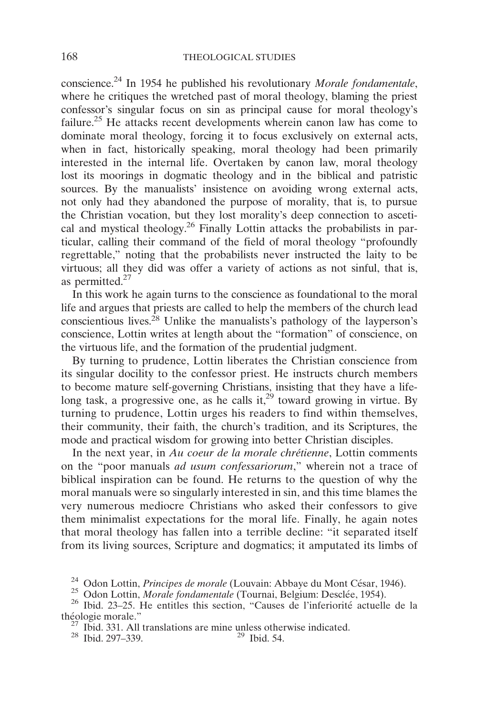conscience.<sup>24</sup> In 1954 he published his revolutionary *Morale fondamentale*, where he critiques the wretched past of moral theology, blaming the priest confessor's singular focus on sin as principal cause for moral theology's failure.<sup>25</sup> He attacks recent developments wherein canon law has come to dominate moral theology, forcing it to focus exclusively on external acts, when in fact, historically speaking, moral theology had been primarily interested in the internal life. Overtaken by canon law, moral theology lost its moorings in dogmatic theology and in the biblical and patristic sources. By the manualists' insistence on avoiding wrong external acts, not only had they abandoned the purpose of morality, that is, to pursue the Christian vocation, but they lost morality's deep connection to ascetical and mystical theology.<sup>26</sup> Finally Lottin attacks the probabilists in particular, calling their command of the field of moral theology "profoundly regrettable," noting that the probabilists never instructed the laity to be virtuous; all they did was offer a variety of actions as not sinful, that is, as permitted.<sup>27</sup>

In this work he again turns to the conscience as foundational to the moral life and argues that priests are called to help the members of the church lead conscientious lives.<sup>28</sup> Unlike the manualists's pathology of the layperson's conscience, Lottin writes at length about the "formation" of conscience, on the virtuous life, and the formation of the prudential judgment.

By turning to prudence, Lottin liberates the Christian conscience from its singular docility to the confessor priest. He instructs church members to become mature self-governing Christians, insisting that they have a lifelong task, a progressive one, as he calls it,<sup>29</sup> toward growing in virtue. By turning to prudence, Lottin urges his readers to find within themselves, their community, their faith, the church's tradition, and its Scriptures, the mode and practical wisdom for growing into better Christian disciples.

In the next year, in Au coeur de la morale chrétienne, Lottin comments on the "poor manuals ad usum confessariorum," wherein not a trace of biblical inspiration can be found. He returns to the question of why the moral manuals were so singularly interested in sin, and this time blames the very numerous mediocre Christians who asked their confessors to give them minimalist expectations for the moral life. Finally, he again notes that moral theology has fallen into a terrible decline: "it separated itself from its living sources, Scripture and dogmatics; it amputated its limbs of

<sup>&</sup>lt;sup>24</sup> Odon Lottin, *Principes de morale* (Louvain: Abbaye du Mont César, 1946).<br><sup>25</sup> Odon Lottin, *Morale fondamentale* (Tournai, Belgium: Desclée, 1954).<br><sup>26</sup> Ibid. 23–25. He entitles this section, "Causes de l'inferiorit théologie morale."

<sup>&</sup>lt;sup>27</sup> Ibid. 331. All translations are mine unless otherwise indicated.<br><sup>28</sup> Ibid. 297–339.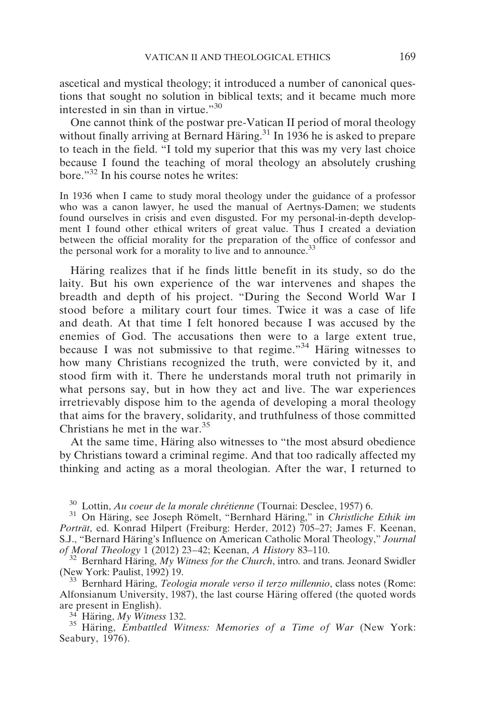ascetical and mystical theology; it introduced a number of canonical questions that sought no solution in biblical texts; and it became much more interested in sin than in virtue."<sup>30</sup>

One cannot think of the postwar pre-Vatican II period of moral theology without finally arriving at Bernard Häring. $31$  In 1936 he is asked to prepare to teach in the field. "I told my superior that this was my very last choice because I found the teaching of moral theology an absolutely crushing bore."32 In his course notes he writes:

In 1936 when I came to study moral theology under the guidance of a professor who was a canon lawyer, he used the manual of Aertnys-Damen; we students found ourselves in crisis and even disgusted. For my personal-in-depth development I found other ethical writers of great value. Thus I created a deviation between the official morality for the preparation of the office of confessor and the personal work for a morality to live and to announce.<sup>33</sup>

Häring realizes that if he finds little benefit in its study, so do the laity. But his own experience of the war intervenes and shapes the breadth and depth of his project. "During the Second World War I stood before a military court four times. Twice it was a case of life and death. At that time I felt honored because I was accused by the enemies of God. The accusations then were to a large extent true, because I was not submissive to that regime."<sup>34</sup> Häring witnesses to how many Christians recognized the truth, were convicted by it, and stood firm with it. There he understands moral truth not primarily in what persons say, but in how they act and live. The war experiences irretrievably dispose him to the agenda of developing a moral theology that aims for the bravery, solidarity, and truthfulness of those committed Christians he met in the war. $35$ 

At the same time, Häring also witnesses to "the most absurd obedience by Christians toward a criminal regime. And that too radically affected my thinking and acting as a moral theologian. After the war, I returned to

<sup>30</sup> Lottin, Au coeur de la morale chrétienne (Tournai: Desclee, 1957) 6. <sup>31</sup> On Häring, see Joseph Römelt, "Bernhard Häring," in *Christliche Ethik im* Porträt, ed. Konrad Hilpert (Freiburg: Herder, 2012) 705–27; James F. Keenan, S.J., "Bernard Häring's Influence on American Catholic Moral Theology," Journal of Moral Theology 1 (2012) 23–42; Keenan, A History 83–110.

<sup>33</sup> Bernhard Häring, *My Witness for the Church*, intro. and trans. Jeonard Swidler (New York: Paulist, 1992) 19.

 $33$  Bernhard Häring, *Teologia morale verso il terzo millennio*, class notes (Rome: Alfonsianum University, 1987), the last course Häring offered (the quoted words are present in English).<br> $34$  Häring, My Witness 132.

 $35$  Häring, Embattled Witness: Memories of a Time of War (New York: Seabury, 1976).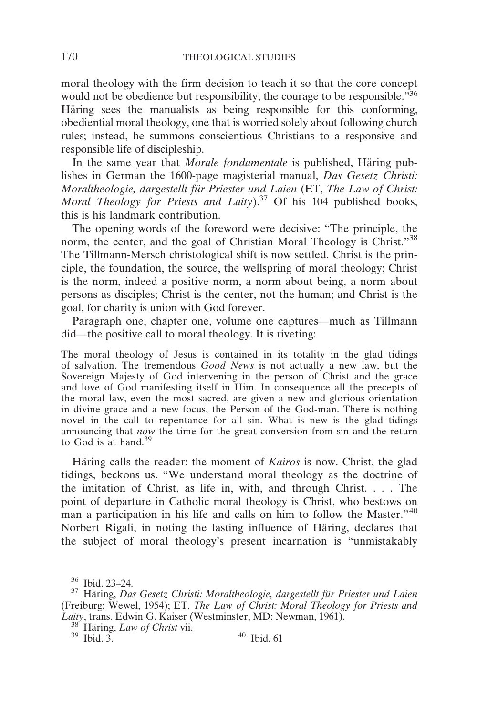moral theology with the firm decision to teach it so that the core concept would not be obedience but responsibility, the courage to be responsible."<sup>36</sup> Häring sees the manualists as being responsible for this conforming, obediential moral theology, one that is worried solely about following church rules; instead, he summons conscientious Christians to a responsive and responsible life of discipleship.

In the same year that Morale fondamentale is published, Häring publishes in German the 1600-page magisterial manual, Das Gesetz Christi: Moraltheologie, dargestellt für Priester und Laien (ET, The Law of Christ: Moral Theology for Priests and Laity).<sup>37</sup> Of his 104 published books, this is his landmark contribution.

The opening words of the foreword were decisive: "The principle, the norm, the center, and the goal of Christian Moral Theology is Christ."38 The Tillmann-Mersch christological shift is now settled. Christ is the principle, the foundation, the source, the wellspring of moral theology; Christ is the norm, indeed a positive norm, a norm about being, a norm about persons as disciples; Christ is the center, not the human; and Christ is the goal, for charity is union with God forever.

Paragraph one, chapter one, volume one captures—much as Tillmann did—the positive call to moral theology. It is riveting:

The moral theology of Jesus is contained in its totality in the glad tidings of salvation. The tremendous Good News is not actually a new law, but the Sovereign Majesty of God intervening in the person of Christ and the grace and love of God manifesting itself in Him. In consequence all the precepts of the moral law, even the most sacred, are given a new and glorious orientation in divine grace and a new focus, the Person of the God-man. There is nothing novel in the call to repentance for all sin. What is new is the glad tidings announcing that now the time for the great conversion from sin and the return to God is at hand. $39$ 

Häring calls the reader: the moment of *Kairos* is now. Christ, the glad tidings, beckons us. "We understand moral theology as the doctrine of the imitation of Christ, as life in, with, and through Christ. . . . The point of departure in Catholic moral theology is Christ, who bestows on man a participation in his life and calls on him to follow the Master."<sup>40</sup> Norbert Rigali, in noting the lasting influence of Häring, declares that the subject of moral theology's present incarnation is "unmistakably

<sup>&</sup>lt;sup>36</sup> Ibid. 23–24.<br><sup>37</sup> Häring, *Das Gesetz Christi: Moraltheologie, dargestellt für Priester und Laien* (Freiburg: Wewel, 1954); ET, The Law of Christ: Moral Theology for Priests and Laity, trans. Edwin G. Kaiser (Westminster, MD: Newman, 1961).<br><sup>38</sup> Häring, Law of Christ vii.  $39$  Ibid. 3. 40 Ibid. 61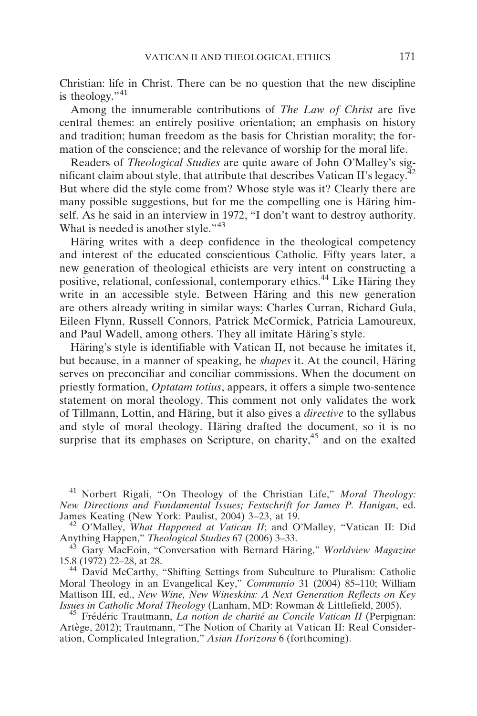Christian: life in Christ. There can be no question that the new discipline is theology."<sup>41</sup>

Among the innumerable contributions of The Law of Christ are five central themes: an entirely positive orientation; an emphasis on history and tradition; human freedom as the basis for Christian morality; the formation of the conscience; and the relevance of worship for the moral life.

Readers of Theological Studies are quite aware of John O'Malley's significant claim about style, that attribute that describes Vatican II's legacy.<sup>42</sup> But where did the style come from? Whose style was it? Clearly there are many possible suggestions, but for me the compelling one is Häring himself. As he said in an interview in 1972, "I don't want to destroy authority. What is needed is another style."<sup>43</sup>

Häring writes with a deep confidence in the theological competency and interest of the educated conscientious Catholic. Fifty years later, a new generation of theological ethicists are very intent on constructing a positive, relational, confessional, contemporary ethics.<sup>44</sup> Like Häring they write in an accessible style. Between Häring and this new generation are others already writing in similar ways: Charles Curran, Richard Gula, Eileen Flynn, Russell Connors, Patrick McCormick, Patricia Lamoureux, and Paul Wadell, among others. They all imitate Häring's style.

Häring's style is identifiable with Vatican II, not because he imitates it, but because, in a manner of speaking, he *shapes* it. At the council, Häring serves on preconciliar and conciliar commissions. When the document on priestly formation, *Optatam totius*, appears, it offers a simple two-sentence statement on moral theology. This comment not only validates the work of Tillmann, Lottin, and Häring, but it also gives a *directive* to the syllabus and style of moral theology. Häring drafted the document, so it is no surprise that its emphases on Scripture, on charity, $4<sup>5</sup>$  and on the exalted

 $41$  Norbert Rigali, "On Theology of the Christian Life," *Moral Theology*: New Directions and Fundamental Issues; Festschrift for James P. Hanigan, ed. James Keating (New York: Paulist, 2004) 3-23, at 19.

<sup>42</sup> O'Malley, *What Happened at Vatican II*; and O'Malley, "Vatican II: Did Anything Happen," *Theological Studies* 67 (2006) 3–33.

<sup>43</sup> Gary MacEoin, "Conversation with Bernard Häring," Worldview Magazine 15.8 (1972) 22–28, at 28.

<sup>44</sup> David McCarthy, "Shifting Settings from Subculture to Pluralism: Catholic Moral Theology in an Evangelical Key," Communio 31 (2004) 85–110; William Mattison III, ed., New Wine, New Wineskins: A Next Generation Reflects on Key Issues in Catholic Moral Theology (Lanham, MD: Rowman & Littlefield, 2005).

<sup>45</sup> Frédéric Trautmann, La notion de charité au Concile Vatican II (Perpignan: Artège, 2012); Trautmann, "The Notion of Charity at Vatican II: Real Consideration, Complicated Integration," Asian Horizons 6 (forthcoming).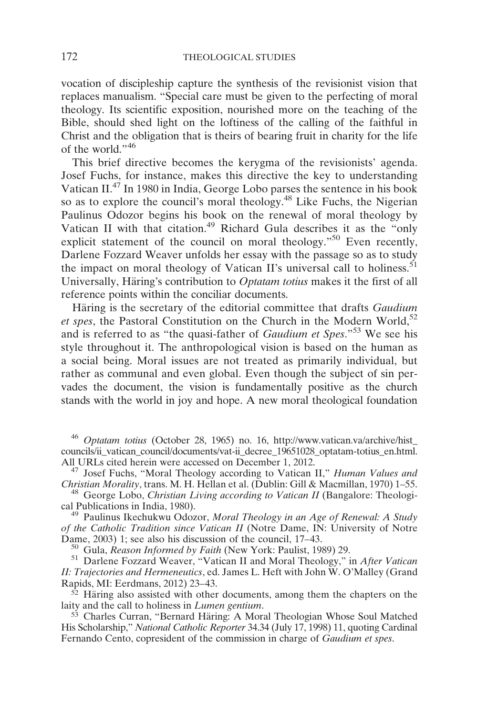vocation of discipleship capture the synthesis of the revisionist vision that replaces manualism. "Special care must be given to the perfecting of moral theology. Its scientific exposition, nourished more on the teaching of the Bible, should shed light on the loftiness of the calling of the faithful in Christ and the obligation that is theirs of bearing fruit in charity for the life of the world."<sup>46</sup>

This brief directive becomes the kerygma of the revisionists' agenda. Josef Fuchs, for instance, makes this directive the key to understanding Vatican II.47 In 1980 in India, George Lobo parses the sentence in his book so as to explore the council's moral theology.<sup>48</sup> Like Fuchs, the Nigerian Paulinus Odozor begins his book on the renewal of moral theology by Vatican II with that citation.<sup>49</sup> Richard Gula describes it as the "only" explicit statement of the council on moral theology."<sup>50</sup> Even recently, Darlene Fozzard Weaver unfolds her essay with the passage so as to study the impact on moral theology of Vatican II's universal call to holiness.<sup>51</sup> Universally, Häring's contribution to Optatam totius makes it the first of all reference points within the conciliar documents.

Häring is the secretary of the editorial committee that drafts Gaudium et spes, the Pastoral Constitution on the Church in the Modern World,<sup>52</sup> and is referred to as "the quasi-father of Gaudium et Spes."<sup>53</sup> We see his style throughout it. The anthropological vision is based on the human as a social being. Moral issues are not treated as primarily individual, but rather as communal and even global. Even though the subject of sin pervades the document, the vision is fundamentally positive as the church stands with the world in joy and hope. A new moral theological foundation

<sup>46</sup> Optatam totius (October 28, 1965) no. 16, http://www.vatican.va/archive/hist\_ councils/ii\_vatican\_council/documents/vat-ii\_decree\_19651028\_optatam-totius\_en.html.<br>All URLs cited herein were accessed on December 1, 2012.

<sup>47</sup> Josef Fuchs, "Moral Theology according to Vatican II," *Human Values and Christian Morality*, trans. M. H. Hellan et al. (Dublin: Gill & Macmillan, 1970) 1–55.

<sup>48</sup> George Lobo, *Christian Living according to Vatican II* (Bangalore: Theological Publications in India, 1980).

<sup>49</sup> Paulinus Ikechukwu Odozor, Moral Theology in an Age of Renewal: A Study of the Catholic Tradition since Vatican II (Notre Dame, IN: University of Notre Dame,  $2003$ ) 1: see also his discussion of the council,  $17-43$ .

<sup>50</sup> Gula, *Reason Informed by Faith* (New York: Paulist, 1989) 29.<br><sup>51</sup> Darlene Fozzard Weaver, "Vatican II and Moral Theology," in *After Vatican* II: Trajectories and Hermeneutics, ed. James L. Heft with John W. O'Malley (Grand Rapids, MI: Eerdmans, 2012) 23–43.

 $52$  Haring also assisted with other documents, among them the chapters on the laity and the call to holiness in Lumen gentium.

53 Charles Curran, "Bernard Häring: A Moral Theologian Whose Soul Matched His Scholarship," National Catholic Reporter 34.34 (July 17, 1998) 11, quoting Cardinal Fernando Cento, copresident of the commission in charge of Gaudium et spes.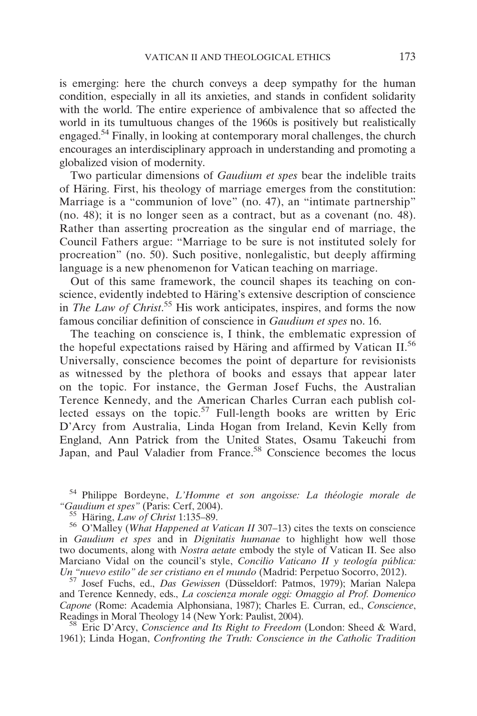is emerging: here the church conveys a deep sympathy for the human condition, especially in all its anxieties, and stands in confident solidarity with the world. The entire experience of ambivalence that so affected the world in its tumultuous changes of the 1960s is positively but realistically engaged.<sup>54</sup> Finally, in looking at contemporary moral challenges, the church encourages an interdisciplinary approach in understanding and promoting a globalized vision of modernity.

Two particular dimensions of *Gaudium et spes* bear the indelible traits of Häring. First, his theology of marriage emerges from the constitution: Marriage is a "communion of love" (no. 47), an "intimate partnership" (no. 48); it is no longer seen as a contract, but as a covenant (no. 48). Rather than asserting procreation as the singular end of marriage, the Council Fathers argue: "Marriage to be sure is not instituted solely for procreation" (no. 50). Such positive, nonlegalistic, but deeply affirming language is a new phenomenon for Vatican teaching on marriage.

Out of this same framework, the council shapes its teaching on conscience, evidently indebted to Häring's extensive description of conscience in The Law of Christ.<sup>55</sup> His work anticipates, inspires, and forms the now famous conciliar definition of conscience in Gaudium et spes no. 16.

The teaching on conscience is, I think, the emblematic expression of the hopeful expectations raised by Häring and affirmed by Vatican  $II$ <sup>56</sup> Universally, conscience becomes the point of departure for revisionists as witnessed by the plethora of books and essays that appear later on the topic. For instance, the German Josef Fuchs, the Australian Terence Kennedy, and the American Charles Curran each publish collected essays on the topic.<sup>57</sup> Full-length books are written by Eric D'Arcy from Australia, Linda Hogan from Ireland, Kevin Kelly from England, Ann Patrick from the United States, Osamu Takeuchi from Japan, and Paul Valadier from France.<sup>58</sup> Conscience becomes the locus

 $54$  Philippe Bordeyne, *L'Homme et son angoisse: La théologie morale de* "Gaudium et spes" (Paris: Cerf, 2004).

<sup>55</sup> Häring, Law of Christ 1:135–89.<br><sup>56</sup> O'Malley (*What Happened at Vatican II 307–13*) cites the texts on conscience in Gaudium et spes and in Dignitatis humanae to highlight how well those two documents, along with *Nostra aetate* embody the style of Vatican II. See also Marciano Vidal on the council's style, Concilio Vaticano II y teología pública:<br>Un "nuevo estilo" de ser cristiano en el mundo (Madrid: Perpetuo Socorro, 2012).

<sup>57</sup> Josef Fuchs, ed., *Das Gewissen* (Düsseldorf: Patmos, 1979); Marian Nalepa and Terence Kennedy, eds., La coscienza morale oggi: Omaggio al Prof. Domenico Capone (Rome: Academia Alphonsiana, 1987); Charles E. Curran, ed., Conscience, Readings in Moral Theology 14 (New York: Paulist, 2004).

 $^{58}$  Eric D'Arcy, Conscience and Its Right to Freedom (London: Sheed & Ward, 1961); Linda Hogan, Confronting the Truth: Conscience in the Catholic Tradition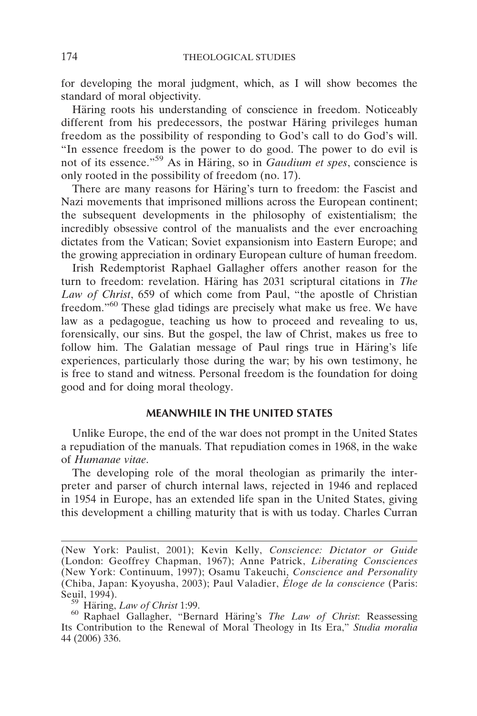for developing the moral judgment, which, as I will show becomes the standard of moral objectivity.

Häring roots his understanding of conscience in freedom. Noticeably different from his predecessors, the postwar Häring privileges human freedom as the possibility of responding to God's call to do God's will. "In essence freedom is the power to do good. The power to do evil is not of its essence."<sup>59</sup> As in Häring, so in  $\tilde{G}$ *audium et spes*, conscience is only rooted in the possibility of freedom (no. 17).

There are many reasons for Häring's turn to freedom: the Fascist and Nazi movements that imprisoned millions across the European continent; the subsequent developments in the philosophy of existentialism; the incredibly obsessive control of the manualists and the ever encroaching dictates from the Vatican; Soviet expansionism into Eastern Europe; and the growing appreciation in ordinary European culture of human freedom.

Irish Redemptorist Raphael Gallagher offers another reason for the turn to freedom: revelation. Häring has 2031 scriptural citations in The Law of Christ, 659 of which come from Paul, "the apostle of Christian freedom."<sup>60</sup> These glad tidings are precisely what make us free. We have law as a pedagogue, teaching us how to proceed and revealing to us, forensically, our sins. But the gospel, the law of Christ, makes us free to follow him. The Galatian message of Paul rings true in Häring's life experiences, particularly those during the war; by his own testimony, he is free to stand and witness. Personal freedom is the foundation for doing good and for doing moral theology.

# MEANWHILE IN THE UNITED STATES

Unlike Europe, the end of the war does not prompt in the United States a repudiation of the manuals. That repudiation comes in 1968, in the wake of Humanae vitae.

The developing role of the moral theologian as primarily the interpreter and parser of church internal laws, rejected in 1946 and replaced in 1954 in Europe, has an extended life span in the United States, giving this development a chilling maturity that is with us today. Charles Curran

<sup>(</sup>New York: Paulist, 2001); Kevin Kelly, Conscience: Dictator or Guide (London: Geoffrey Chapman, 1967); Anne Patrick, Liberating Consciences (New York: Continuum, 1997); Osamu Takeuchi, Conscience and Personality (Chiba, Japan: Kyoyusha, 2003); Paul Valadier, *Éloge de la conscience* (Paris: Seuil, 1994).<br><sup>59</sup> Häring, *Law of Christ* 1:99.<br><sup>60</sup> Raphael Gallagher, "Bernard Häring's *The Law of Christ*: Reassessing

Its Contribution to the Renewal of Moral Theology in Its Era," Studia moralia 44 (2006) 336.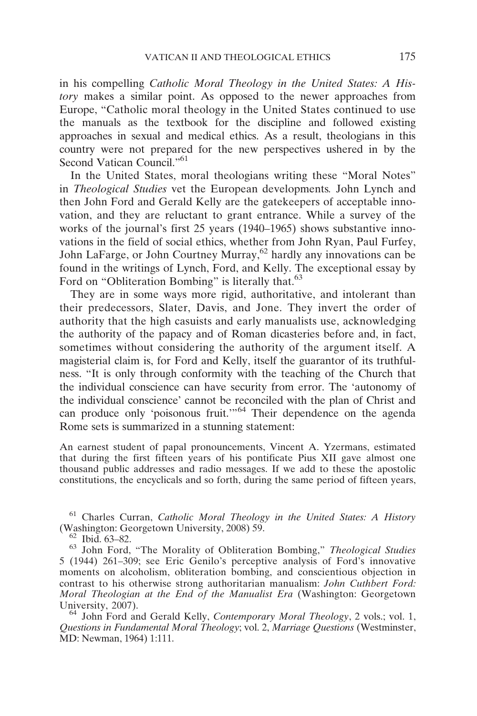in his compelling Catholic Moral Theology in the United States: A History makes a similar point. As opposed to the newer approaches from Europe, "Catholic moral theology in the United States continued to use the manuals as the textbook for the discipline and followed existing approaches in sexual and medical ethics. As a result, theologians in this country were not prepared for the new perspectives ushered in by the Second Vatican Council."<sup>61</sup>

In the United States, moral theologians writing these "Moral Notes" in Theological Studies vet the European developments. John Lynch and then John Ford and Gerald Kelly are the gatekeepers of acceptable innovation, and they are reluctant to grant entrance. While a survey of the works of the journal's first 25 years (1940–1965) shows substantive innovations in the field of social ethics, whether from John Ryan, Paul Furfey, John LaFarge, or John Courtney Murray,<sup>62</sup> hardly any innovations can be found in the writings of Lynch, Ford, and Kelly. The exceptional essay by Ford on "Obliteration Bombing" is literally that.<sup>63</sup>

They are in some ways more rigid, authoritative, and intolerant than their predecessors, Slater, Davis, and Jone. They invert the order of authority that the high casuists and early manualists use, acknowledging the authority of the papacy and of Roman dicasteries before and, in fact, sometimes without considering the authority of the argument itself. A magisterial claim is, for Ford and Kelly, itself the guarantor of its truthfulness. "It is only through conformity with the teaching of the Church that the individual conscience can have security from error. The 'autonomy of the individual conscience' cannot be reconciled with the plan of Christ and can produce only 'poisonous fruit."<sup>64</sup> Their dependence on the agenda Rome sets is summarized in a stunning statement:

An earnest student of papal pronouncements, Vincent A. Yzermans, estimated that during the first fifteen years of his pontificate Pius XII gave almost one thousand public addresses and radio messages. If we add to these the apostolic constitutions, the encyclicals and so forth, during the same period of fifteen years,

<sup>61</sup> Charles Curran, *Catholic Moral Theology in the United States: A History* (Washington: Georgetown University, 2008) 59.

 $<sup>62</sup>$  Ibid. 63–82.<br><sup>63</sup> John Ford, "The Morality of Obliteration Bombing," *Theological Studies*</sup> 5 (1944) 261–309; see Eric Genilo's perceptive analysis of Ford's innovative moments on alcoholism, obliteration bombing, and conscientious objection in contrast to his otherwise strong authoritarian manualism: John Cuthbert Ford: Moral Theologian at the End of the Manualist Era (Washington: Georgetown University, 2007).

<sup>64</sup> John Ford and Gerald Kelly, Contemporary Moral Theology, 2 vols.; vol. 1, Questions in Fundamental Moral Theology; vol. 2, Marriage Questions (Westminster, MD: Newman, 1964) 1:111.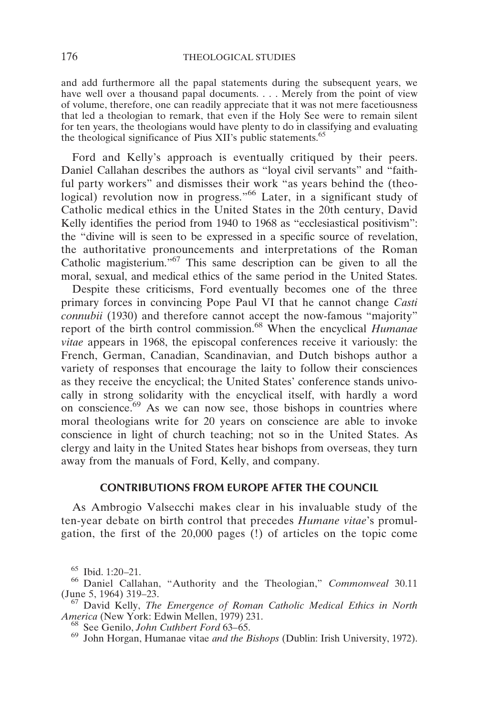and add furthermore all the papal statements during the subsequent years, we have well over a thousand papal documents. . . . Merely from the point of view of volume, therefore, one can readily appreciate that it was not mere facetiousness that led a theologian to remark, that even if the Holy See were to remain silent for ten years, the theologians would have plenty to do in classifying and evaluating the theological significance of Pius XII's public statements.<sup>65</sup>

Ford and Kelly's approach is eventually critiqued by their peers. Daniel Callahan describes the authors as "loyal civil servants" and "faithful party workers" and dismisses their work "as years behind the (theological) revolution now in progress."<sup>66</sup> Later, in a significant study of Catholic medical ethics in the United States in the 20th century, David Kelly identifies the period from 1940 to 1968 as "ecclesiastical positivism": the "divine will is seen to be expressed in a specific source of revelation, the authoritative pronouncements and interpretations of the Roman Catholic magisterium."67 This same description can be given to all the moral, sexual, and medical ethics of the same period in the United States.

Despite these criticisms, Ford eventually becomes one of the three primary forces in convincing Pope Paul VI that he cannot change Casti connubii (1930) and therefore cannot accept the now-famous "majority" report of the birth control commission.<sup>68</sup> When the encyclical *Humanae* vitae appears in 1968, the episcopal conferences receive it variously: the French, German, Canadian, Scandinavian, and Dutch bishops author a variety of responses that encourage the laity to follow their consciences as they receive the encyclical; the United States' conference stands univocally in strong solidarity with the encyclical itself, with hardly a word on conscience.<sup>69</sup> As we can now see, those bishops in countries where moral theologians write for 20 years on conscience are able to invoke conscience in light of church teaching; not so in the United States. As clergy and laity in the United States hear bishops from overseas, they turn away from the manuals of Ford, Kelly, and company.

# CONTRIBUTIONS FROM EUROPE AFTER THE COUNCIL

As Ambrogio Valsecchi makes clear in his invaluable study of the ten-year debate on birth control that precedes Humane vitae's promulgation, the first of the 20,000 pages (!) of articles on the topic come

<sup>65</sup> Ibid. 1:20–21.<br><sup>66</sup> Daniel Callahan, "Authority and the Theologian," *Commonweal* 30.11 (June 5, 1964) 319–23.

 $\frac{67}{3}$  David Kelly, *The Emergence of Roman Catholic Medical Ethics in North America* (New York: Edwin Mellen, 1979) 231.

<sup>68</sup> See Genilo, *John Cuthbert Ford* 63–65. <sup>69</sup> John Horgan, Humanae vitae *and the Bishops* (Dublin: Irish University, 1972).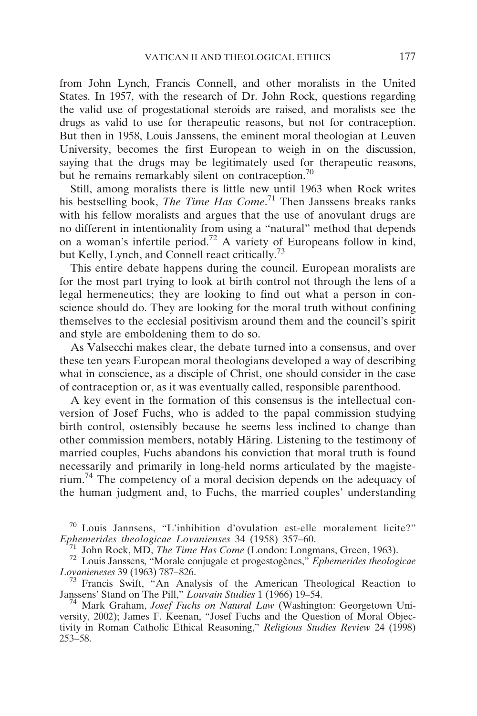from John Lynch, Francis Connell, and other moralists in the United States. In 1957, with the research of Dr. John Rock, questions regarding the valid use of progestational steroids are raised, and moralists see the drugs as valid to use for therapeutic reasons, but not for contraception. But then in 1958, Louis Janssens, the eminent moral theologian at Leuven University, becomes the first European to weigh in on the discussion, saying that the drugs may be legitimately used for therapeutic reasons, but he remains remarkably silent on contraception.<sup>70</sup>

Still, among moralists there is little new until 1963 when Rock writes his bestselling book, The Time Has Come.<sup>71</sup> Then Janssens breaks ranks with his fellow moralists and argues that the use of anovulant drugs are no different in intentionality from using a "natural" method that depends on a woman's infertile period.<sup>72</sup> A variety of Europeans follow in kind, but Kelly, Lynch, and Connell react critically.<sup>73</sup>

This entire debate happens during the council. European moralists are for the most part trying to look at birth control not through the lens of a legal hermeneutics; they are looking to find out what a person in conscience should do. They are looking for the moral truth without confining themselves to the ecclesial positivism around them and the council's spirit and style are emboldening them to do so.

As Valsecchi makes clear, the debate turned into a consensus, and over these ten years European moral theologians developed a way of describing what in conscience, as a disciple of Christ, one should consider in the case of contraception or, as it was eventually called, responsible parenthood.

A key event in the formation of this consensus is the intellectual conversion of Josef Fuchs, who is added to the papal commission studying birth control, ostensibly because he seems less inclined to change than other commission members, notably Häring. Listening to the testimony of married couples, Fuchs abandons his conviction that moral truth is found necessarily and primarily in long-held norms articulated by the magisterium.74 The competency of a moral decision depends on the adequacy of the human judgment and, to Fuchs, the married couples' understanding

 $\frac{70}{2}$  Louis Jannsens, "L'inhibition d'ovulation est-elle moralement licite?"<br>Ephemerides theologicae Lovanienses 34 (1958) 357–60.

<sup>71</sup> John Rock, MD, *The Time Has Come* (London: Longmans, Green, 1963).<br><sup>72</sup> Louis Janssens, "Morale conjugale et progestogènes," *Ephemerides theologicae*<br>*Lovanieneses* 39 (1963) 787–826.

<sup>73</sup> Francis Swift, "An Analysis of the American Theological Reaction to Janssens' Stand on The Pill," *Louvain Studies* 1 (1966) 19–54.

 $^{74}$  Mark Graham, *Josef Fuchs on Natural Law* (Washington: Georgetown University, 2002); James F. Keenan, "Josef Fuchs and the Question of Moral Objectivity in Roman Catholic Ethical Reasoning," Religious Studies Review 24 (1998) 253–58.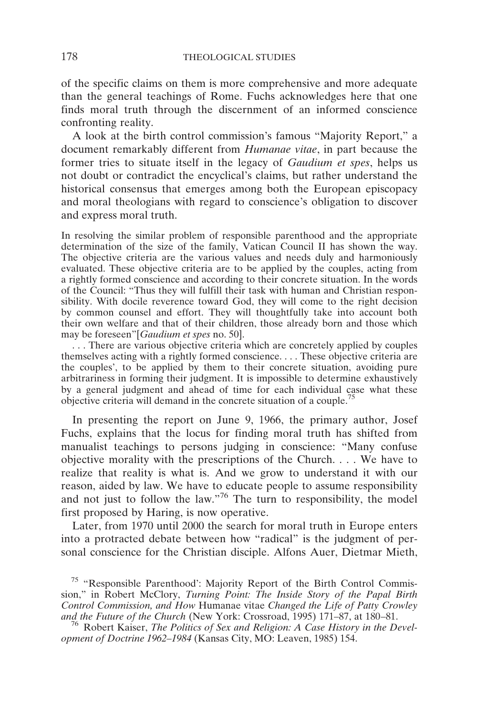of the specific claims on them is more comprehensive and more adequate than the general teachings of Rome. Fuchs acknowledges here that one finds moral truth through the discernment of an informed conscience confronting reality.

A look at the birth control commission's famous "Majority Report," a document remarkably different from Humanae vitae, in part because the former tries to situate itself in the legacy of Gaudium et spes, helps us not doubt or contradict the encyclical's claims, but rather understand the historical consensus that emerges among both the European episcopacy and moral theologians with regard to conscience's obligation to discover and express moral truth.

In resolving the similar problem of responsible parenthood and the appropriate determination of the size of the family, Vatican Council II has shown the way. The objective criteria are the various values and needs duly and harmoniously evaluated. These objective criteria are to be applied by the couples, acting from a rightly formed conscience and according to their concrete situation. In the words of the Council: "Thus they will fulfill their task with human and Christian responsibility. With docile reverence toward God, they will come to the right decision by common counsel and effort. They will thoughtfully take into account both their own welfare and that of their children, those already born and those which may be foreseen"[Gaudium et spes no. 50].

. . . There are various objective criteria which are concretely applied by couples themselves acting with a rightly formed conscience. . . . These objective criteria are the couples', to be applied by them to their concrete situation, avoiding pure arbitrariness in forming their judgment. It is impossible to determine exhaustively by a general judgment and ahead of time for each individual case what these objective criteria will demand in the concrete situation of a couple.<sup>75</sup>

In presenting the report on June 9, 1966, the primary author, Josef Fuchs, explains that the locus for finding moral truth has shifted from manualist teachings to persons judging in conscience: "Many confuse objective morality with the prescriptions of the Church. . . . We have to realize that reality is what is. And we grow to understand it with our reason, aided by law. We have to educate people to assume responsibility and not just to follow the law."<sup>76</sup> The turn to responsibility, the model first proposed by Haring, is now operative.

Later, from 1970 until 2000 the search for moral truth in Europe enters into a protracted debate between how "radical" is the judgment of personal conscience for the Christian disciple. Alfons Auer, Dietmar Mieth,

<sup>75</sup> "Responsible Parenthood': Majority Report of the Birth Control Commission," in Robert McClory, Turning Point: The Inside Story of the Papal Birth Control Commission, and How Humanae vitae Changed the Life of Patty Crowley and the Future of the Church (New York: Crossroad, 1995) 171–87, at 180–81.

 $^{76}$  Robert Kaiser, The Politics of Sex and Religion: A Case History in the Development of Doctrine 1962–1984 (Kansas City, MO: Leaven, 1985) 154.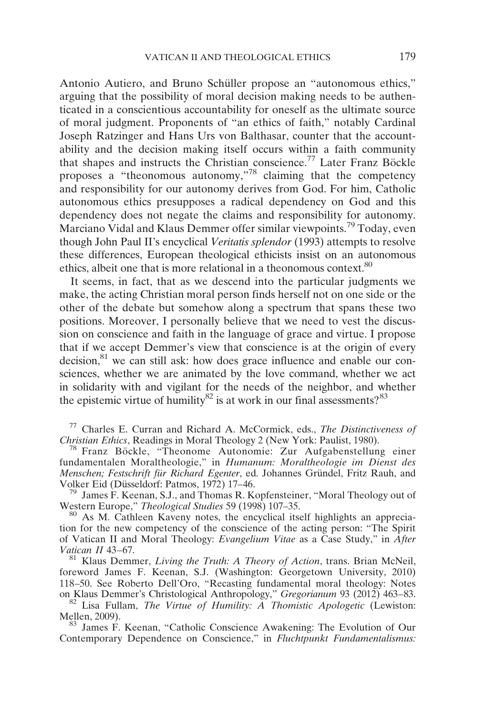Antonio Autiero, and Bruno Schüller propose an "autonomous ethics," arguing that the possibility of moral decision making needs to be authenticated in a conscientious accountability for oneself as the ultimate source of moral judgment. Proponents of "an ethics of faith," notably Cardinal Joseph Ratzinger and Hans Urs von Balthasar, counter that the accountability and the decision making itself occurs within a faith community that shapes and instructs the Christian conscience.<sup>77</sup> Later Franz Böckle proposes a "theonomous autonomy,"<sup>78</sup> claiming that the competency and responsibility for our autonomy derives from God. For him, Catholic autonomous ethics presupposes a radical dependency on God and this dependency does not negate the claims and responsibility for autonomy. Marciano Vidal and Klaus Demmer offer similar viewpoints.<sup>79</sup> Today, even though John Paul II's encyclical Veritatis splendor (1993) attempts to resolve these differences, European theological ethicists insist on an autonomous ethics, albeit one that is more relational in a theonomous context.<sup>80</sup>

It seems, in fact, that as we descend into the particular judgments we make, the acting Christian moral person finds herself not on one side or the other of the debate but somehow along a spectrum that spans these two positions. Moreover, I personally believe that we need to vest the discussion on conscience and faith in the language of grace and virtue. I propose that if we accept Demmer's view that conscience is at the origin of every decision,<sup>81</sup> we can still ask: how does grace influence and enable our consciences, whether we are animated by the love command, whether we act in solidarity with and vigilant for the needs of the neighbor, and whether the epistemic virtue of humility<sup>82</sup> is at work in our final assessments?<sup>83</sup>

<sup>77</sup> Charles E. Curran and Richard A. McCormick, eds., *The Distinctiveness of Christian Ethics*, Readings in Moral Theology 2 (New York: Paulist, 1980).

 $^{78}$  Franz Böckle, "Theonome Autonomie: Zur Aufgabenstellung einer fundamentalen Moraltheologie," in Humanum: Moraltheologie im Dienst des Menschen; Festschrift für Richard Egenter, ed. Johannes Gründel, Fritz Rauh, and<br>Volker Eid (Düsseldorf: Patmos, 1972) 17–46.

<sup>79</sup> James F. Keenan, S.J., and Thomas R. Kopfensteiner, "Moral Theology out of Western Europe," *Theological Studies* 59 (1998) 107–35.

 $80$  As M. Cathleen Kaveny notes, the encyclical itself highlights an appreciation for the new competency of the conscience of the acting person: "The Spirit of Vatican II and Moral Theology: *Evangelium Vitae* as a Case Study," in *After Vatican II* 43–67.

 $81$  Klaus Demmer, Living the Truth: A Theory of Action, trans. Brian McNeil, foreword James F. Keenan, S.J. (Washington: Georgetown University, 2010) 118–50. See Roberto Dell'Oro, "Recasting fundamental moral theology: Notes on Klaus Demmer's Christological Anthropology," Gregorianum 93 (2012) 463–83.

 $\frac{82}{10}$  Lisa Fullam, *The Virtue of Humility: A Thomistic Apologetic* (Lewiston: Mellen, 2009).

<sup>83</sup> James F. Keenan, "Catholic Conscience Awakening: The Evolution of Our Contemporary Dependence on Conscience," in Fluchtpunkt Fundamentalismus: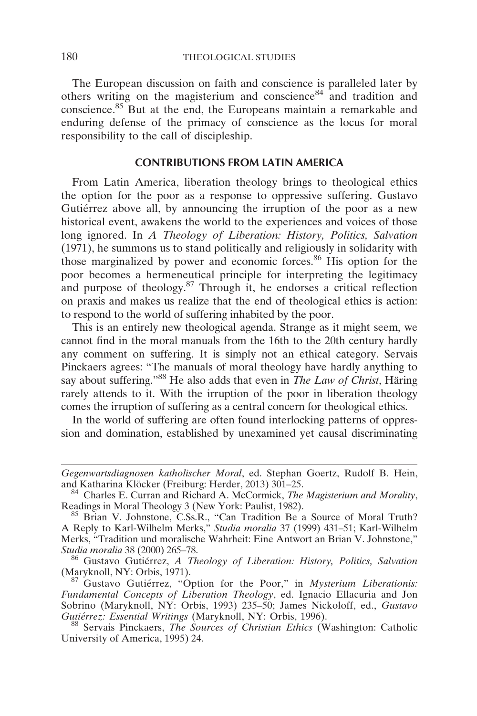The European discussion on faith and conscience is paralleled later by others writing on the magisterium and conscience<sup>84</sup> and tradition and conscience.<sup>85</sup> But at the end, the Europeans maintain a remarkable and enduring defense of the primacy of conscience as the locus for moral responsibility to the call of discipleship.

#### CONTRIBUTIONS FROM LATIN AMERICA

From Latin America, liberation theology brings to theological ethics the option for the poor as a response to oppressive suffering. Gustavo Gutierrez above all, by announcing the irruption of the poor as a new historical event, awakens the world to the experiences and voices of those long ignored. In A Theology of Liberation: History, Politics, Salvation (1971), he summons us to stand politically and religiously in solidarity with those marginalized by power and economic forces.86 His option for the poor becomes a hermeneutical principle for interpreting the legitimacy and purpose of theology.<sup>87</sup> Through it, he endorses a critical reflection on praxis and makes us realize that the end of theological ethics is action: to respond to the world of suffering inhabited by the poor.

This is an entirely new theological agenda. Strange as it might seem, we cannot find in the moral manuals from the 16th to the 20th century hardly any comment on suffering. It is simply not an ethical category. Servais Pinckaers agrees: "The manuals of moral theology have hardly anything to say about suffering."<sup>88</sup> He also adds that even in *The Law of Christ*, Häring rarely attends to it. With the irruption of the poor in liberation theology comes the irruption of suffering as a central concern for theological ethics.

In the world of suffering are often found interlocking patterns of oppression and domination, established by unexamined yet causal discriminating

Gegenwartsdiagnosen katholischer Moral, ed. Stephan Goertz, Rudolf B. Hein, and Katharina Klöcker (Freiburg: Herder, 2013) 301–25.

 $84$  Charles E. Curran and Richard A. McCormick, The Magisterium and Morality, Readings in Moral Theology 3 (New York: Paulist, 1982).

<sup>85</sup> Brian V. Johnstone, C.Ss.R., "Can Tradition Be a Source of Moral Truth? A Reply to Karl-Wilhelm Merks," Studia moralia 37 (1999) 431–51; Karl-Wilhelm Merks, "Tradition und moralische Wahrheit: Eine Antwort an Brian V. Johnstone,"

 $^{86}$  Gustavo Gutiérrez, A Theology of Liberation: History, Politics, Salvation (Maryknoll, NY: Orbis, 1971).

 $^{87}$  Gustavo Gutiérrez, "Option for the Poor," in Mysterium Liberationis: Fundamental Concepts of Liberation Theology, ed. Ignacio Ellacuria and Jon Sobrino (Maryknoll, NY: Orbis, 1993) 235–50; James Nickoloff, ed., *Gustavo Gutiérrez: Essential Writings* (Maryknoll, NY: Orbis, 1996).

<sup>&</sup>lt;sup>88</sup> Servais Pinckaers, The Sources of Christian Ethics (Washington: Catholic University of America, 1995) 24.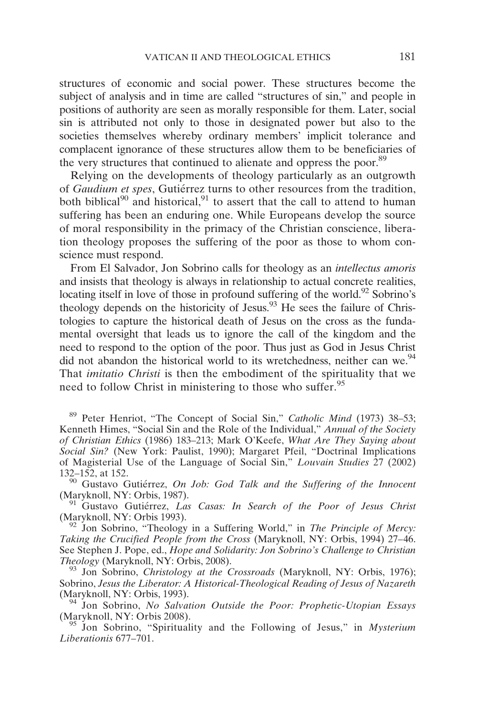structures of economic and social power. These structures become the subject of analysis and in time are called "structures of sin," and people in positions of authority are seen as morally responsible for them. Later, social sin is attributed not only to those in designated power but also to the societies themselves whereby ordinary members' implicit tolerance and complacent ignorance of these structures allow them to be beneficiaries of the very structures that continued to alienate and oppress the poor.<sup>89</sup>

Relying on the developments of theology particularly as an outgrowth of *Gaudium et spes*, Gutiérrez turns to other resources from the tradition, both biblical<sup>90</sup> and historical,<sup>91</sup> to assert that the call to attend to human suffering has been an enduring one. While Europeans develop the source of moral responsibility in the primacy of the Christian conscience, liberation theology proposes the suffering of the poor as those to whom conscience must respond.

From El Salvador, Jon Sobrino calls for theology as an intellectus amoris and insists that theology is always in relationship to actual concrete realities, locating itself in love of those in profound suffering of the world.<sup>92</sup> Sobrino's theology depends on the historicity of Jesus.<sup>93</sup> He sees the failure of Christologies to capture the historical death of Jesus on the cross as the fundamental oversight that leads us to ignore the call of the kingdom and the need to respond to the option of the poor. Thus just as God in Jesus Christ did not abandon the historical world to its wretchedness, neither can we.<sup>94</sup> That *imitatio Christi* is then the embodiment of the spirituality that we need to follow Christ in ministering to those who suffer.<sup>95</sup>

<sup>89</sup> Peter Henriot, "The Concept of Social Sin," Catholic Mind (1973) 38-53; Kenneth Himes, "Social Sin and the Role of the Individual," Annual of the Society of Christian Ethics (1986) 183–213; Mark O'Keefe, What Are They Saying about Social Sin? (New York: Paulist, 1990); Margaret Pfeil, "Doctrinal Implications of Magisterial Use of the Language of Social Sin," Louvain Studies 27 (2002) 132–152, at 152.

<sup>190</sup> Gustavo Gutiérrez, *On Job: God Talk and the Suffering of the Innocent* (Maryknoll, NY: Orbis, 1987).

 $\bigcup_{91}^{91}$  Gustavo Gutiérrez, *Las Casas: In Search of the Poor of Jesus Christ* (Maryknoll, NY: Orbis 1993).

 $\frac{92}{92}$  Jon Sobrino, "Theology in a Suffering World," in The Principle of Mercy: Taking the Crucified People from the Cross (Maryknoll, NY: Orbis, 1994) 27–46. See Stephen J. Pope, ed., Hope and Solidarity: Jon Sobrino's Challenge to Christian Theology (Maryknoll, NY: Orbis, 2008).<br><sup>93</sup> Jon Sobrino, *Christology at the Crossroads* (Maryknoll, NY: Orbis, 1976);

Sobrino, Jesus the Liberator: A Historical-Theological Reading of Jesus of Nazareth

(Maryknoll, NY: Orbis, 1993).<br><sup>94</sup> Jon Sobrino, *No Salvation Outside the Poor: Prophetic-Utopian Essays*<br>(Maryknoll, NY: Orbis 2008).

 $<sup>95</sup>$  Jon Sobrino, "Spirituality and the Following of Jesus," in Mysterium</sup> Liberationis 677–701.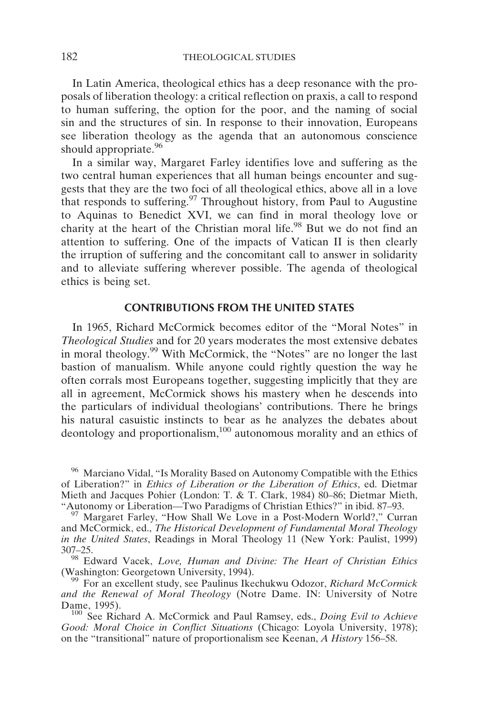In Latin America, theological ethics has a deep resonance with the proposals of liberation theology: a critical reflection on praxis, a call to respond to human suffering, the option for the poor, and the naming of social sin and the structures of sin. In response to their innovation, Europeans see liberation theology as the agenda that an autonomous conscience should appropriate.<sup>96</sup>

In a similar way, Margaret Farley identifies love and suffering as the two central human experiences that all human beings encounter and suggests that they are the two foci of all theological ethics, above all in a love that responds to suffering.<sup>97</sup> Throughout history, from Paul to Augustine to Aquinas to Benedict XVI, we can find in moral theology love or charity at the heart of the Christian moral life.<sup>98</sup> But we do not find an attention to suffering. One of the impacts of Vatican II is then clearly the irruption of suffering and the concomitant call to answer in solidarity and to alleviate suffering wherever possible. The agenda of theological ethics is being set.

# CONTRIBUTIONS FROM THE UNITED STATES

In 1965, Richard McCormick becomes editor of the "Moral Notes" in Theological Studies and for 20 years moderates the most extensive debates in moral theology.<sup>99</sup> With McCormick, the "Notes" are no longer the last bastion of manualism. While anyone could rightly question the way he often corrals most Europeans together, suggesting implicitly that they are all in agreement, McCormick shows his mastery when he descends into the particulars of individual theologians' contributions. There he brings his natural casuistic instincts to bear as he analyzes the debates about deontology and proportionalism,<sup>100</sup> autonomous morality and an ethics of

<sup>96</sup> Marciano Vidal, "Is Morality Based on Autonomy Compatible with the Ethics of Liberation?" in Ethics of Liberation or the Liberation of Ethics, ed. Dietmar Mieth and Jacques Pohier (London: T. & T. Clark, 1984) 80–86; Dietmar Mieth, "Autonomy or Liberation—Two Paradigms of Christian Ethics?" in ibid. 87–93.

 $197$  Margaret Farley, "How Shall We Love in a Post-Modern World?," Curran and McCormick, ed., The Historical Development of Fundamental Moral Theology in the United States, Readings in Moral Theology 11 (New York: Paulist, 1999) 307-25.

<sup>98</sup> Edward Vacek, *Love, Human and Divine: The Heart of Christian Ethics* (Washington: Georgetown University, 1994).

<sup>99</sup> For an excellent study, see Paulinus Ikechukwu Odozor, Richard McCormick and the Renewal of Moral Theology (Notre Dame. IN: University of Notre Dame, 1995).

 $\frac{100}{100}$  See Richard A. McCormick and Paul Ramsey, eds., *Doing Evil to Achieve* Good: Moral Choice in Conflict Situations (Chicago: Loyola University, 1978); on the "transitional" nature of proportionalism see Keenan, A History 156–58.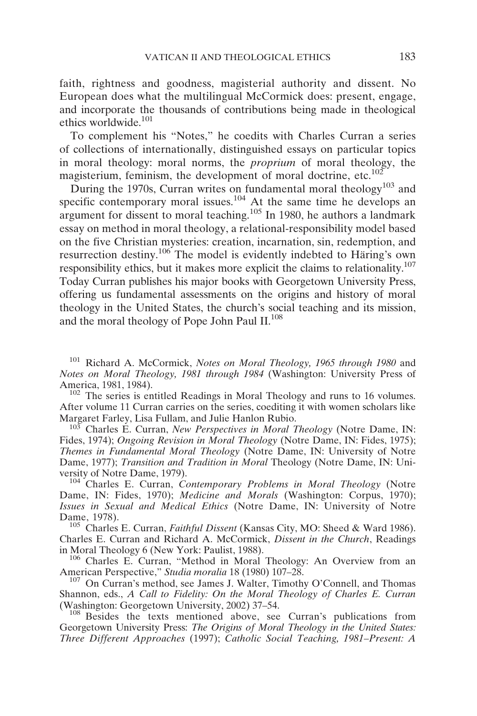faith, rightness and goodness, magisterial authority and dissent. No European does what the multilingual McCormick does: present, engage, and incorporate the thousands of contributions being made in theological ethics worldwide.<sup>101</sup>

To complement his "Notes," he coedits with Charles Curran a series of collections of internationally, distinguished essays on particular topics in moral theology: moral norms, the proprium of moral theology, the magisterium, feminism, the development of moral doctrine, etc. $102$ 

During the 1970s, Curran writes on fundamental moral theology<sup>103</sup> and specific contemporary moral issues.<sup>104</sup> At the same time he develops an argument for dissent to moral teaching.<sup>105</sup> In 1980, he authors a landmark essay on method in moral theology, a relational-responsibility model based on the five Christian mysteries: creation, incarnation, sin, redemption, and resurrection destiny.<sup>106</sup> The model is evidently indebted to Haring's own responsibility ethics, but it makes more explicit the claims to relationality.107 Today Curran publishes his major books with Georgetown University Press, offering us fundamental assessments on the origins and history of moral theology in the United States, the church's social teaching and its mission, and the moral theology of Pope John Paul II.<sup>108</sup>

<sup>101</sup> Richard A. McCormick, Notes on Moral Theology, 1965 through 1980 and Notes on Moral Theology, 1981 through 1984 (Washington: University Press of America, 1981, 1984).

 $102$  The series is entitled Readings in Moral Theology and runs to 16 volumes. After volume 11 Curran carries on the series, coediting it with women scholars like Margaret Farley, Lisa Fullam, and Julie Hanlon Rubio.

 $^{103}$  Charles E. Curran, New Perspectives in Moral Theology (Notre Dame, IN: Fides, 1974); Ongoing Revision in Moral Theology (Notre Dame, IN: Fides, 1975); Themes in Fundamental Moral Theology (Notre Dame, IN: University of Notre Dame, 1977); Transition and Tradition in Moral Theology (Notre Dame, IN: University of Notre Dame, 1979).

<sup>104</sup> Charles E. Curran, *Contemporary Problems in Moral Theology* (Notre Dame, IN: Fides, 1970); Medicine and Morals (Washington: Corpus, 1970); Issues in Sexual and Medical Ethics (Notre Dame, IN: University of Notre Dame, 1978).<br><sup>105</sup> Charles E. Curran, *Faithful Dissent* (Kansas City, MO: Sheed & Ward 1986).

Charles E. Curran and Richard A. McCormick, *Dissent in the Church*, Readings in Moral Theology 6 (New York: Paulist, 1988).

<sup>106</sup> Charles E. Curran, "Method in Moral Theology: An Overview from an American Perspective," *Studia moralia* 18 (1980) 107–28.

 $107$  On Curran's method, see James J. Walter, Timothy O'Connell, and Thomas Shannon, eds., *A Call to Fidelity: On the Moral Theology of Charles E. Curran* (Washington: Georgetown University, 2002) 37–54.

<sup>108</sup> Besides the texts mentioned above, see Curran's publications from Georgetown University Press: The Origins of Moral Theology in the United States: Three Different Approaches (1997); Catholic Social Teaching, 1981–Present: A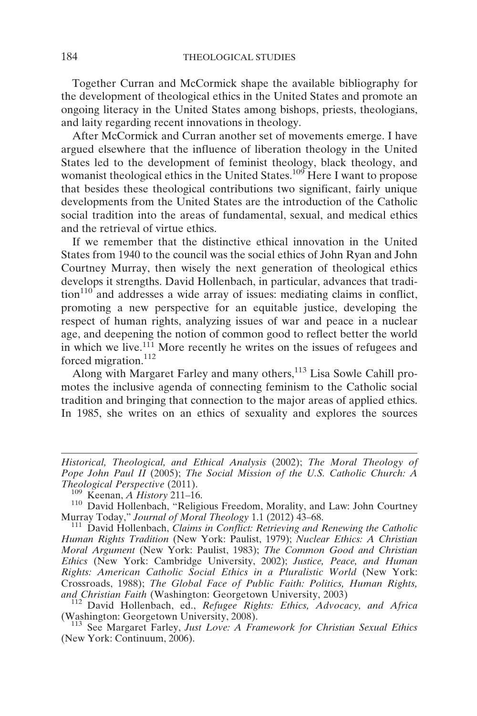Together Curran and McCormick shape the available bibliography for the development of theological ethics in the United States and promote an ongoing literacy in the United States among bishops, priests, theologians, and laity regarding recent innovations in theology.

After McCormick and Curran another set of movements emerge. I have argued elsewhere that the influence of liberation theology in the United States led to the development of feminist theology, black theology, and womanist theological ethics in the United States.<sup>109</sup> Here I want to propose that besides these theological contributions two significant, fairly unique developments from the United States are the introduction of the Catholic social tradition into the areas of fundamental, sexual, and medical ethics and the retrieval of virtue ethics.

If we remember that the distinctive ethical innovation in the United States from 1940 to the council was the social ethics of John Ryan and John Courtney Murray, then wisely the next generation of theological ethics develops it strengths. David Hollenbach, in particular, advances that tradi- $\frac{110}{3}$  and addresses a wide array of issues: mediating claims in conflict, promoting a new perspective for an equitable justice, developing the respect of human rights, analyzing issues of war and peace in a nuclear age, and deepening the notion of common good to reflect better the world in which we live.<sup>111</sup> More recently he writes on the issues of refugees and forced migration.<sup>112</sup>

Along with Margaret Farley and many others,<sup>113</sup> Lisa Sowle Cahill promotes the inclusive agenda of connecting feminism to the Catholic social tradition and bringing that connection to the major areas of applied ethics. In 1985, she writes on an ethics of sexuality and explores the sources

Historical, Theological, and Ethical Analysis (2002); The Moral Theology of Pope John Paul II (2005); The Social Mission of the U.S. Catholic Church:  $\AA$  Theological Perspective (2011).

Theology Keenan, A History 211–16.<br>
<sup>110</sup> David Hollenbach, "Religious Freedom, Morality, and Law: John Courtney<br>
Murray Today," Journal of Moral Theology 1.1 (2012) 43–68.

 $^{111}$  David Hollenbach, Claims in Conflict: Retrieving and Renewing the Catholic Human Rights Tradition (New York: Paulist, 1979); Nuclear Ethics: A Christian Moral Argument (New York: Paulist, 1983); The Common Good and Christian Ethics (New York: Cambridge University, 2002); Justice, Peace, and Human Rights: American Catholic Social Ethics in a Pluralistic World (New York: Crossroads, 1988); The Global Face of Public Faith: Politics, Human Rights,

and Christian Faith (Washington: Georgetown University, 2003)<br><sup>112</sup> David Hollenbach, ed., *Refugee Rights: Ethics, Advocacy, and Africa*<br>(Washington: Georgetown University, 2008).

 $113$  See Margaret Farley, Just Love: A Framework for Christian Sexual Ethics (New York: Continuum, 2006).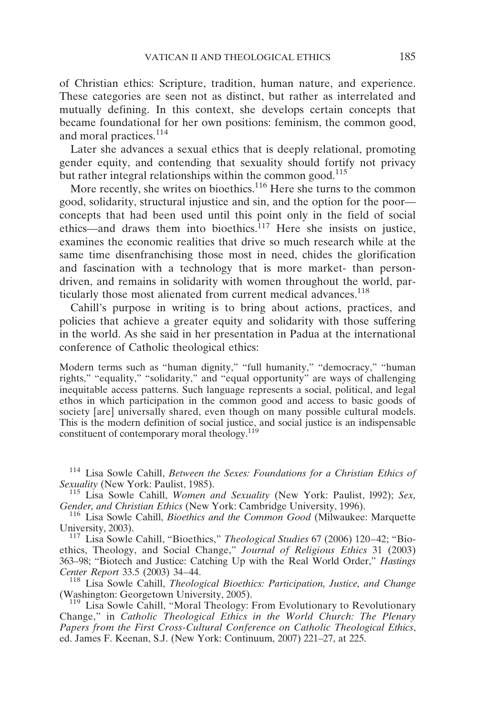of Christian ethics: Scripture, tradition, human nature, and experience. These categories are seen not as distinct, but rather as interrelated and mutually defining. In this context, she develops certain concepts that became foundational for her own positions: feminism, the common good, and moral practices.<sup>114</sup>

Later she advances a sexual ethics that is deeply relational, promoting gender equity, and contending that sexuality should fortify not privacy but rather integral relationships within the common good.<sup>115</sup>

More recently, she writes on bioethics.<sup>116</sup> Here she turns to the common good, solidarity, structural injustice and sin, and the option for the poor concepts that had been used until this point only in the field of social ethics—and draws them into bioethics.<sup>117</sup> Here she insists on justice, examines the economic realities that drive so much research while at the same time disenfranchising those most in need, chides the glorification and fascination with a technology that is more market- than persondriven, and remains in solidarity with women throughout the world, particularly those most alienated from current medical advances.<sup>118</sup>

Cahill's purpose in writing is to bring about actions, practices, and policies that achieve a greater equity and solidarity with those suffering in the world. As she said in her presentation in Padua at the international conference of Catholic theological ethics:

Modern terms such as "human dignity," "full humanity," "democracy," "human rights," "equality," "solidarity," and "equal opportunity" are ways of challenging inequitable access patterns. Such language represents a social, political, and legal ethos in which participation in the common good and access to basic goods of society [are] universally shared, even though on many possible cultural models. This is the modern definition of social justice, and social justice is an indispensable constituent of contemporary moral theology.<sup>119</sup>

<sup>114</sup> Lisa Sowle Cahill, *Between the Sexes: Foundations for a Christian Ethics of Sexuality* (New York: Paulist, 1985).

<sup>115</sup> Lisa Sowle Cahill, *Women and Sexuality* (New York: Paulist, 1992); Sex, Gender, and Christian Ethics (New York: Cambridge University, 1996).

 $^{116}$  Lisa Sowle Cahill, *Bioethics and the Common Good* (Milwaukee: Marquette University, 2003).

<sup>117</sup> Lisa Sowle Cahill, "Bioethics," Theological Studies 67 (2006) 120-42; "Bioethics, Theology, and Social Change," Journal of Religious Ethics 31 (2003) 363–98; "Biotech and Justice: Catching Up with the Real World Order," Hastings

 $^{118}$  Lisa Sowle Cahill, *Theological Bioethics: Participation, Justice, and Change* (Washington: Georgetown University, 2005).<br><sup>119</sup> Lisa Sowle Cahill, "Moral Theology: From Evolutionary to Revolutionary

Change," in Catholic Theological Ethics in the World Church: The Plenary Papers from the First Cross-Cultural Conference on Catholic Theological Ethics, ed. James F. Keenan, S.J. (New York: Continuum, 2007) 221–27, at 225.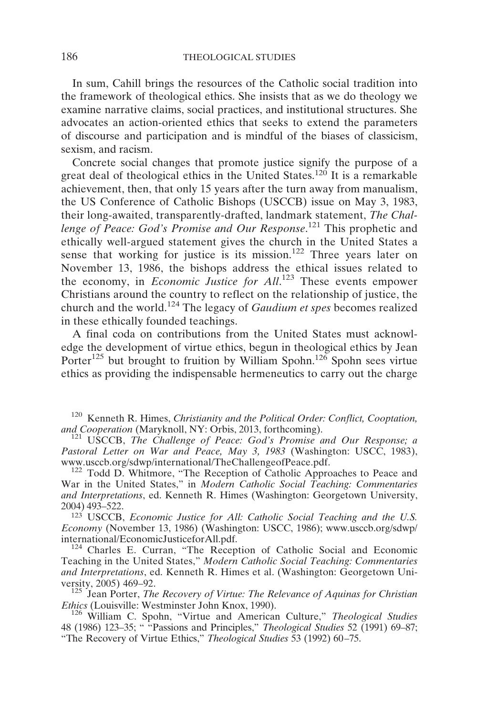In sum, Cahill brings the resources of the Catholic social tradition into the framework of theological ethics. She insists that as we do theology we examine narrative claims, social practices, and institutional structures. She advocates an action-oriented ethics that seeks to extend the parameters of discourse and participation and is mindful of the biases of classicism, sexism, and racism.

Concrete social changes that promote justice signify the purpose of a great deal of theological ethics in the United States.<sup>120</sup> It is a remarkable achievement, then, that only 15 years after the turn away from manualism, the US Conference of Catholic Bishops (USCCB) issue on May 3, 1983, their long-awaited, transparently-drafted, landmark statement, The Challenge of Peace: God's Promise and Our Response.<sup>121</sup> This prophetic and ethically well-argued statement gives the church in the United States a sense that working for justice is its mission.<sup>122</sup> Three years later on November 13, 1986, the bishops address the ethical issues related to the economy, in *Economic Justice for All*.<sup>123</sup> These events empower Christians around the country to reflect on the relationship of justice, the church and the world.<sup>124</sup> The legacy of *Gaudium et spes* becomes realized in these ethically founded teachings.

A final coda on contributions from the United States must acknowledge the development of virtue ethics, begun in theological ethics by Jean Porter<sup>125</sup> but brought to fruition by William Spohn.<sup>126</sup> Spohn sees virtue ethics as providing the indispensable hermeneutics to carry out the charge

 $120$  Kenneth R. Himes, *Christianity and the Political Order: Conflict, Cooptation, and Cooperation* (Maryknoll, NY: Orbis, 2013, forthcoming).

 $121$  USCCB, The Challenge of Peace: God's Promise and Our Response; a Pastoral Letter on War and Peace, May 3, 1983 (Washington: USCC, 1983), www.usccb.org/sdwp/international/TheChallengeofPeace.pdf.

 $122$  Todd D. Whitmore, "The Reception of Catholic Approaches to Peace and War in the United States," in *Modern Catholic Social Teaching: Commentaries* and Interpretations, ed. Kenneth R. Himes (Washington: Georgetown University, 2004) 493–522.

 $123$  USCCB, Economic Justice for All: Catholic Social Teaching and the U.S. Economy (November 13, 1986) (Washington: USCC, 1986); www.usccb.org/sdwp/<br>international/EconomicJusticeforAll.pdf.

<sup>124</sup> Charles E. Curran, "The Reception of Catholic Social and Economic Teaching in the United States," Modern Catholic Social Teaching: Commentaries and Interpretations, ed. Kenneth R. Himes et al. (Washington: Georgetown University, 2005) 469-92.

<sup>125</sup> Jean Porter, *The Recovery of Virtue: The Relevance of Aquinas for Christian Ethics* (Louisville: Westminster John Knox, 1990).

<sup>126</sup> William C. Spohn, "Virtue and American Culture," Theological Studies 48 (1986) 123–35; " "Passions and Principles," Theological Studies 52 (1991) 69–87; "The Recovery of Virtue Ethics," Theological Studies 53 (1992) 60–75.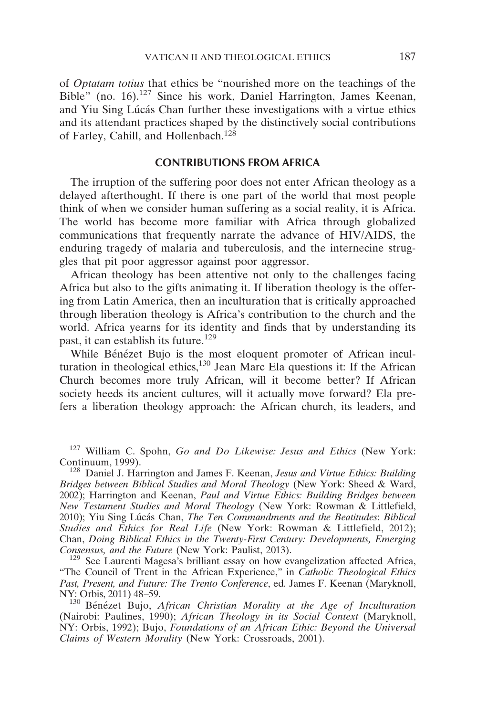of Optatam totius that ethics be "nourished more on the teachings of the Bible" (no. 16).<sup>127</sup> Since his work, Daniel Harrington, James Keenan, and Yiu Sing Lúcás Chan further these investigations with a virtue ethics and its attendant practices shaped by the distinctively social contributions of Farley, Cahill, and Hollenbach.<sup>128</sup>

# CONTRIBUTIONS FROM AFRICA

The irruption of the suffering poor does not enter African theology as a delayed afterthought. If there is one part of the world that most people think of when we consider human suffering as a social reality, it is Africa. The world has become more familiar with Africa through globalized communications that frequently narrate the advance of HIV/AIDS, the enduring tragedy of malaria and tuberculosis, and the internecine struggles that pit poor aggressor against poor aggressor.

African theology has been attentive not only to the challenges facing Africa but also to the gifts animating it. If liberation theology is the offering from Latin America, then an inculturation that is critically approached through liberation theology is Africa's contribution to the church and the world. Africa yearns for its identity and finds that by understanding its past, it can establish its future.<sup>129</sup>

While Bénézet Bujo is the most eloquent promoter of African inculturation in theological ethics, $130$  Jean Marc Ela questions it: If the African Church becomes more truly African, will it become better? If African society heeds its ancient cultures, will it actually move forward? Ela prefers a liberation theology approach: the African church, its leaders, and

 $127$  William C. Spohn, *Go and Do Likewise: Jesus and Ethics* (New York: Continuum, 1999).

 $\frac{128}{128}$  Daniel J. Harrington and James F. Keenan, Jesus and Virtue Ethics: Building Bridges between Biblical Studies and Moral Theology (New York: Sheed & Ward, 2002); Harrington and Keenan, Paul and Virtue Ethics: Building Bridges between New Testament Studies and Moral Theology (New York: Rowman & Littlefield, 2010); Yiu Sing Lúcás Chan, The Ten Commandments and the Beatitudes: Biblical Studies and Ethics for Real Life (New York: Rowman & Littlefield, 2012); Chan, Doing Biblical Ethics in the Twenty-First Century: Developments, Emerging

 $129$  See Laurenti Magesa's brilliant essay on how evangelization affected Africa, "The Council of Trent in the African Experience," in Catholic Theological Ethics Past, Present, and Future: The Trento Conference, ed. James F. Keenan (Maryknoll, NY: Orbis, 2011) 48–59.<br><sup>130</sup> Bénézet Bujo, *African Christian Morality at the Age of Inculturation* 

(Nairobi: Paulines, 1990); African Theology in its Social Context (Maryknoll, NY: Orbis, 1992); Bujo, Foundations of an African Ethic: Beyond the Universal Claims of Western Morality (New York: Crossroads, 2001).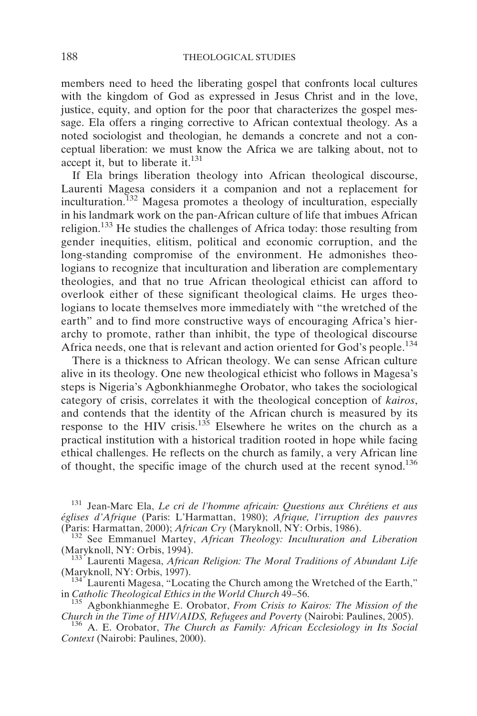members need to heed the liberating gospel that confronts local cultures with the kingdom of God as expressed in Jesus Christ and in the love, justice, equity, and option for the poor that characterizes the gospel message. Ela offers a ringing corrective to African contextual theology. As a noted sociologist and theologian, he demands a concrete and not a conceptual liberation: we must know the Africa we are talking about, not to accept it, but to liberate it. $^{131}$ 

If Ela brings liberation theology into African theological discourse, Laurenti Magesa considers it a companion and not a replacement for  $in$ culturation.<sup>132</sup> Magesa promotes a theology of inculturation, especially in his landmark work on the pan-African culture of life that imbues African religion.<sup>133</sup> He studies the challenges of Africa today: those resulting from gender inequities, elitism, political and economic corruption, and the long-standing compromise of the environment. He admonishes theologians to recognize that inculturation and liberation are complementary theologies, and that no true African theological ethicist can afford to overlook either of these significant theological claims. He urges theologians to locate themselves more immediately with "the wretched of the earth" and to find more constructive ways of encouraging Africa's hierarchy to promote, rather than inhibit, the type of theological discourse Africa needs, one that is relevant and action oriented for God's people.<sup>134</sup>

There is a thickness to African theology. We can sense African culture alive in its theology. One new theological ethicist who follows in Magesa's steps is Nigeria's Agbonkhianmeghe Orobator, who takes the sociological category of crisis, correlates it with the theological conception of kairos, and contends that the identity of the African church is measured by its response to the HIV crisis.<sup>135</sup> Elsewhere he writes on the church as a practical institution with a historical tradition rooted in hope while facing ethical challenges. He reflects on the church as family, a very African line of thought, the specific image of the church used at the recent synod.136

<sup>131</sup> Jean-Marc Ela, Le cri de l'homme africain: Questions aux Chrétiens et aus églises d'Afrique (Paris: L'Harmattan, 1980); Afrique, l'irruption des pauvres (Paris: Harmattan, 2000); African Cry (Maryknoll, NY: Orbis, 1986).

<sup>132</sup> See Emmanuel Martey, *African Theology: Inculturation and Liberation* (Maryknoll, NY: Orbis, 1994).

<sup>133</sup> Laurenti Magesa, *African Religion: The Moral Traditions of Abundant Life*<br>(Maryknoll, NY: Orbis, 1997).

 $\frac{^{134}}{^{134}}$  Laurenti Magesa, "Locating the Church among the Wretched of the Earth," in *Catholic Theological Ethics in the World Church* 49–56.

<sup>135</sup> Agbonkhianmeghe E. Orobator, *From Crisis to Kairos: The Mission of the Church in the Time of HIV/AIDS, Refugees and Poverty (Nairobi: Paulines, 2005).* 

 $^{136}$  A. E. Orobator, The Church as Family: African Ecclesiology in Its Social Context (Nairobi: Paulines, 2000).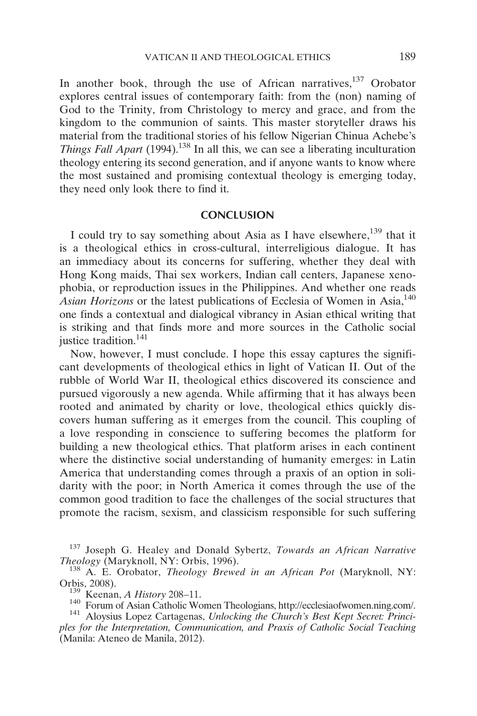In another book, through the use of African narratives,  $137$  Orobator explores central issues of contemporary faith: from the (non) naming of God to the Trinity, from Christology to mercy and grace, and from the kingdom to the communion of saints. This master storyteller draws his material from the traditional stories of his fellow Nigerian Chinua Achebe's Things Fall Apart (1994).<sup>138</sup> In all this, we can see a liberating inculturation theology entering its second generation, and if anyone wants to know where the most sustained and promising contextual theology is emerging today, they need only look there to find it.

## **CONCLUSION**

I could try to say something about Asia as I have elsewhere,  $139$  that it is a theological ethics in cross-cultural, interreligious dialogue. It has an immediacy about its concerns for suffering, whether they deal with Hong Kong maids, Thai sex workers, Indian call centers, Japanese xenophobia, or reproduction issues in the Philippines. And whether one reads Asian Horizons or the latest publications of Ecclesia of Women in Asia,<sup>140</sup> one finds a contextual and dialogical vibrancy in Asian ethical writing that is striking and that finds more and more sources in the Catholic social justice tradition.<sup>141</sup>

Now, however, I must conclude. I hope this essay captures the significant developments of theological ethics in light of Vatican II. Out of the rubble of World War II, theological ethics discovered its conscience and pursued vigorously a new agenda. While affirming that it has always been rooted and animated by charity or love, theological ethics quickly discovers human suffering as it emerges from the council. This coupling of a love responding in conscience to suffering becomes the platform for building a new theological ethics. That platform arises in each continent where the distinctive social understanding of humanity emerges: in Latin America that understanding comes through a praxis of an option in solidarity with the poor; in North America it comes through the use of the common good tradition to face the challenges of the social structures that promote the racism, sexism, and classicism responsible for such suffering

 $137$  Joseph G. Healey and Donald Sybertz, *Towards an African Narrative Theology* (Maryknoll, NY: Orbis, 1996).

138 A. E. Orobator, Theology Brewed in an African Pot (Maryknoll, NY: Orbis, 2008).<br><sup>139</sup> Keenan, *A History* 208–11.<br><sup>140</sup> Forum of Asian Catholic Women Theologians, http://ecclesiaofwomen.ning.com/.<br><sup>141</sup> Aloysius Lopez Cartagenas, *Unlocking the Church's Best Kept Secret: Princi-*

ples for the Interpretation, Communication, and Praxis of Catholic Social Teaching (Manila: Ateneo de Manila, 2012).